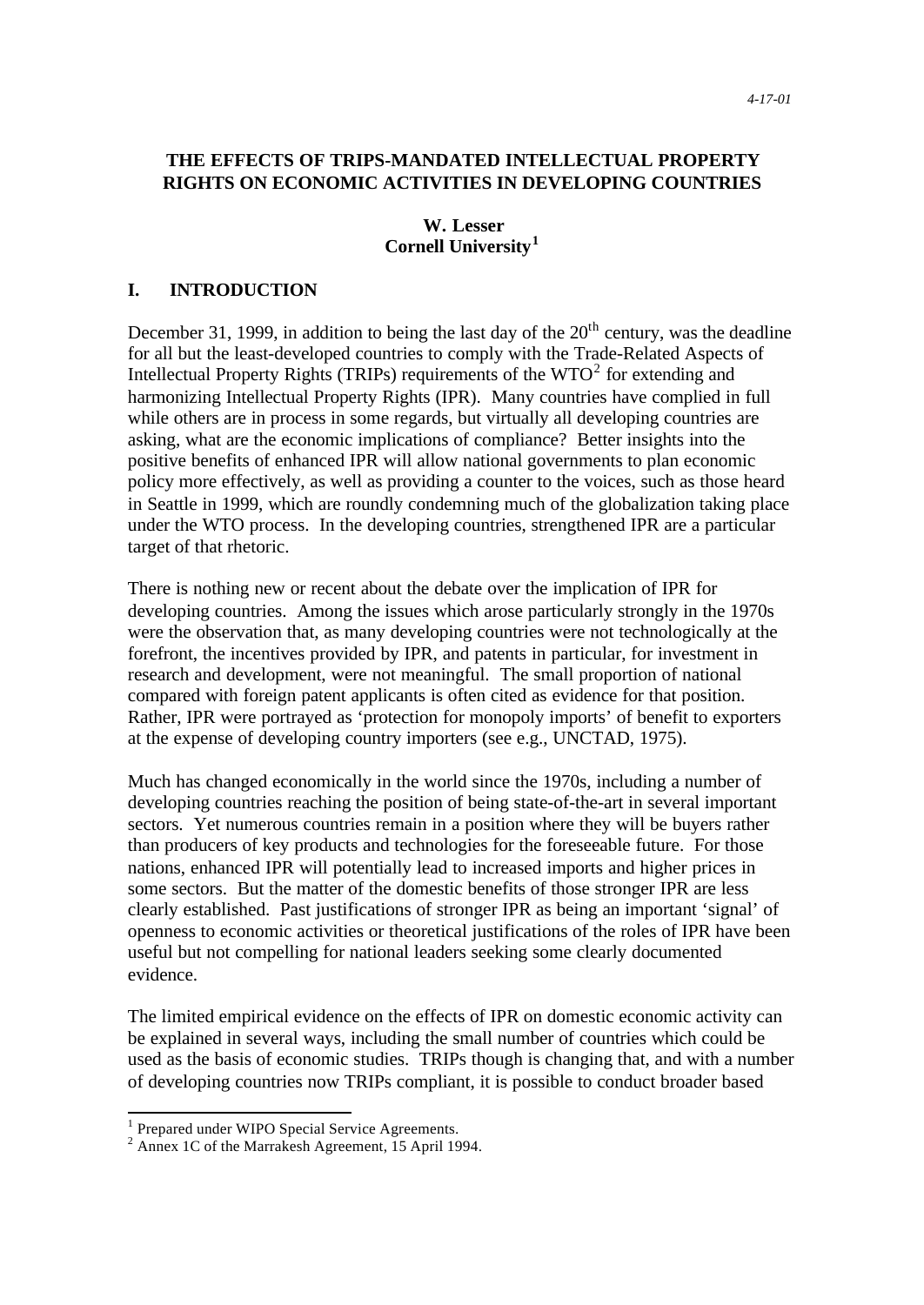## **THE EFFECTS OF TRIPS-MANDATED INTELLECTUAL PROPERTY RIGHTS ON ECONOMIC ACTIVITIES IN DEVELOPING COUNTRIES**

### **W. Lesser Cornell University<sup>1</sup>**

### **I. INTRODUCTION**

December 31, 1999, in addition to being the last day of the  $20<sup>th</sup>$  century, was the deadline for all but the least-developed countries to comply with the Trade-Related Aspects of Intellectual Property Rights (TRIPs) requirements of the  $WTO<sup>2</sup>$  for extending and harmonizing Intellectual Property Rights (IPR). Many countries have complied in full while others are in process in some regards, but virtually all developing countries are asking, what are the economic implications of compliance? Better insights into the positive benefits of enhanced IPR will allow national governments to plan economic policy more effectively, as well as providing a counter to the voices, such as those heard in Seattle in 1999, which are roundly condemning much of the globalization taking place under the WTO process. In the developing countries, strengthened IPR are a particular target of that rhetoric.

There is nothing new or recent about the debate over the implication of IPR for developing countries. Among the issues which arose particularly strongly in the 1970s were the observation that, as many developing countries were not technologically at the forefront, the incentives provided by IPR, and patents in particular, for investment in research and development, were not meaningful. The small proportion of national compared with foreign patent applicants is often cited as evidence for that position. Rather, IPR were portrayed as 'protection for monopoly imports' of benefit to exporters at the expense of developing country importers (see e.g., UNCTAD, 1975).

Much has changed economically in the world since the 1970s, including a number of developing countries reaching the position of being state-of-the-art in several important sectors. Yet numerous countries remain in a position where they will be buyers rather than producers of key products and technologies for the foreseeable future. For those nations, enhanced IPR will potentially lead to increased imports and higher prices in some sectors. But the matter of the domestic benefits of those stronger IPR are less clearly established. Past justifications of stronger IPR as being an important 'signal' of openness to economic activities or theoretical justifications of the roles of IPR have been useful but not compelling for national leaders seeking some clearly documented evidence.

The limited empirical evidence on the effects of IPR on domestic economic activity can be explained in several ways, including the small number of countries which could be used as the basis of economic studies. TRIPs though is changing that, and with a number of developing countries now TRIPs compliant, it is possible to conduct broader based

<sup>&</sup>lt;sup>1</sup> Prepared under WIPO Special Service Agreements.

<sup>&</sup>lt;sup>2</sup> Annex 1C of the Marrakesh Agreement, 15 April 1994.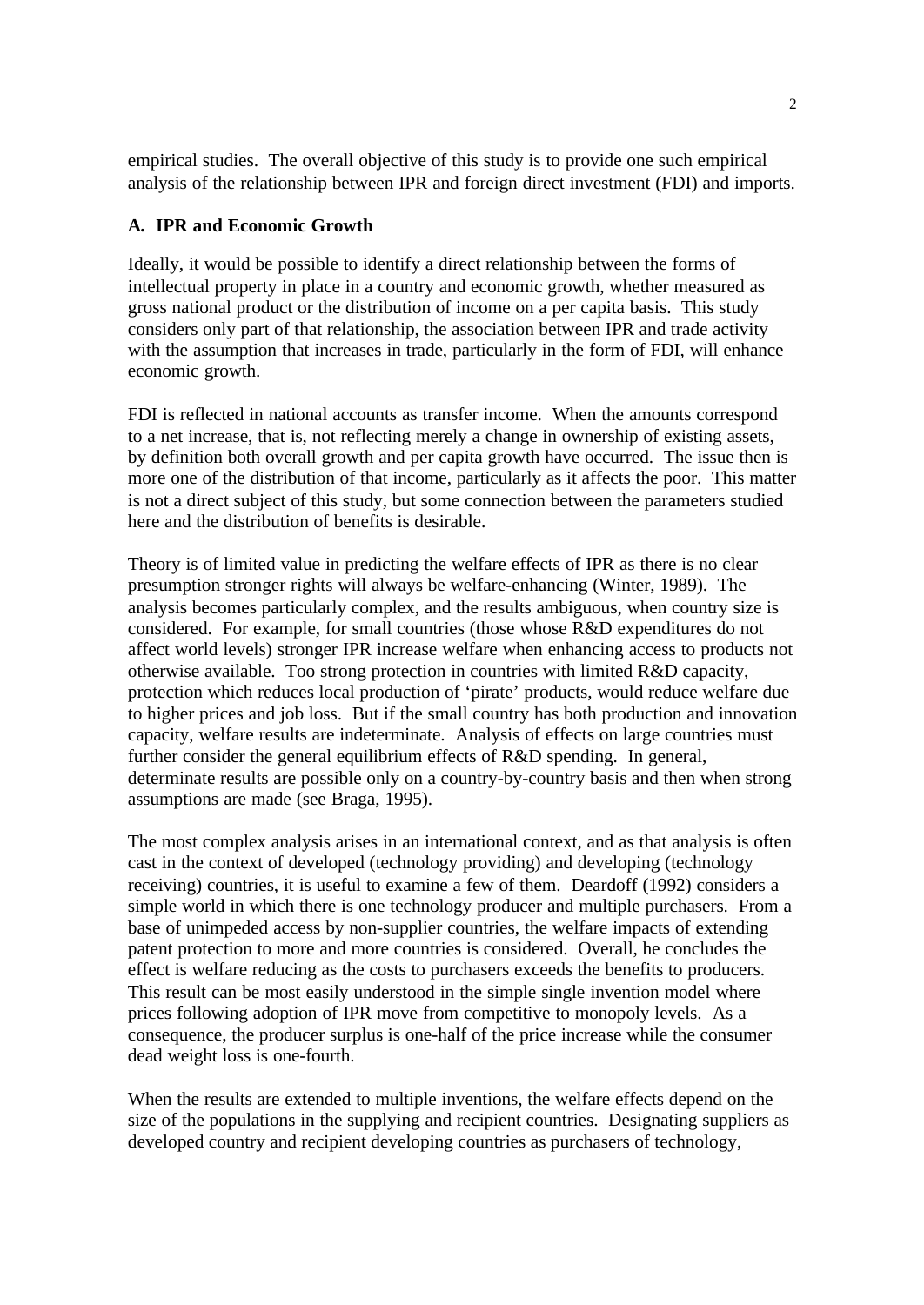empirical studies. The overall objective of this study is to provide one such empirical analysis of the relationship between IPR and foreign direct investment (FDI) and imports.

## **A. IPR and Economic Growth**

Ideally, it would be possible to identify a direct relationship between the forms of intellectual property in place in a country and economic growth, whether measured as gross national product or the distribution of income on a per capita basis. This study considers only part of that relationship, the association between IPR and trade activity with the assumption that increases in trade, particularly in the form of FDI, will enhance economic growth.

FDI is reflected in national accounts as transfer income. When the amounts correspond to a net increase, that is, not reflecting merely a change in ownership of existing assets, by definition both overall growth and per capita growth have occurred. The issue then is more one of the distribution of that income, particularly as it affects the poor. This matter is not a direct subject of this study, but some connection between the parameters studied here and the distribution of benefits is desirable.

Theory is of limited value in predicting the welfare effects of IPR as there is no clear presumption stronger rights will always be welfare-enhancing (Winter, 1989). The analysis becomes particularly complex, and the results ambiguous, when country size is considered. For example, for small countries (those whose R&D expenditures do not affect world levels) stronger IPR increase welfare when enhancing access to products not otherwise available. Too strong protection in countries with limited R&D capacity, protection which reduces local production of 'pirate' products, would reduce welfare due to higher prices and job loss. But if the small country has both production and innovation capacity, welfare results are indeterminate. Analysis of effects on large countries must further consider the general equilibrium effects of R&D spending. In general, determinate results are possible only on a country-by-country basis and then when strong assumptions are made (see Braga, 1995).

The most complex analysis arises in an international context, and as that analysis is often cast in the context of developed (technology providing) and developing (technology receiving) countries, it is useful to examine a few of them. Deardoff (1992) considers a simple world in which there is one technology producer and multiple purchasers. From a base of unimpeded access by non-supplier countries, the welfare impacts of extending patent protection to more and more countries is considered. Overall, he concludes the effect is welfare reducing as the costs to purchasers exceeds the benefits to producers. This result can be most easily understood in the simple single invention model where prices following adoption of IPR move from competitive to monopoly levels. As a consequence, the producer surplus is one-half of the price increase while the consumer dead weight loss is one-fourth.

When the results are extended to multiple inventions, the welfare effects depend on the size of the populations in the supplying and recipient countries. Designating suppliers as developed country and recipient developing countries as purchasers of technology,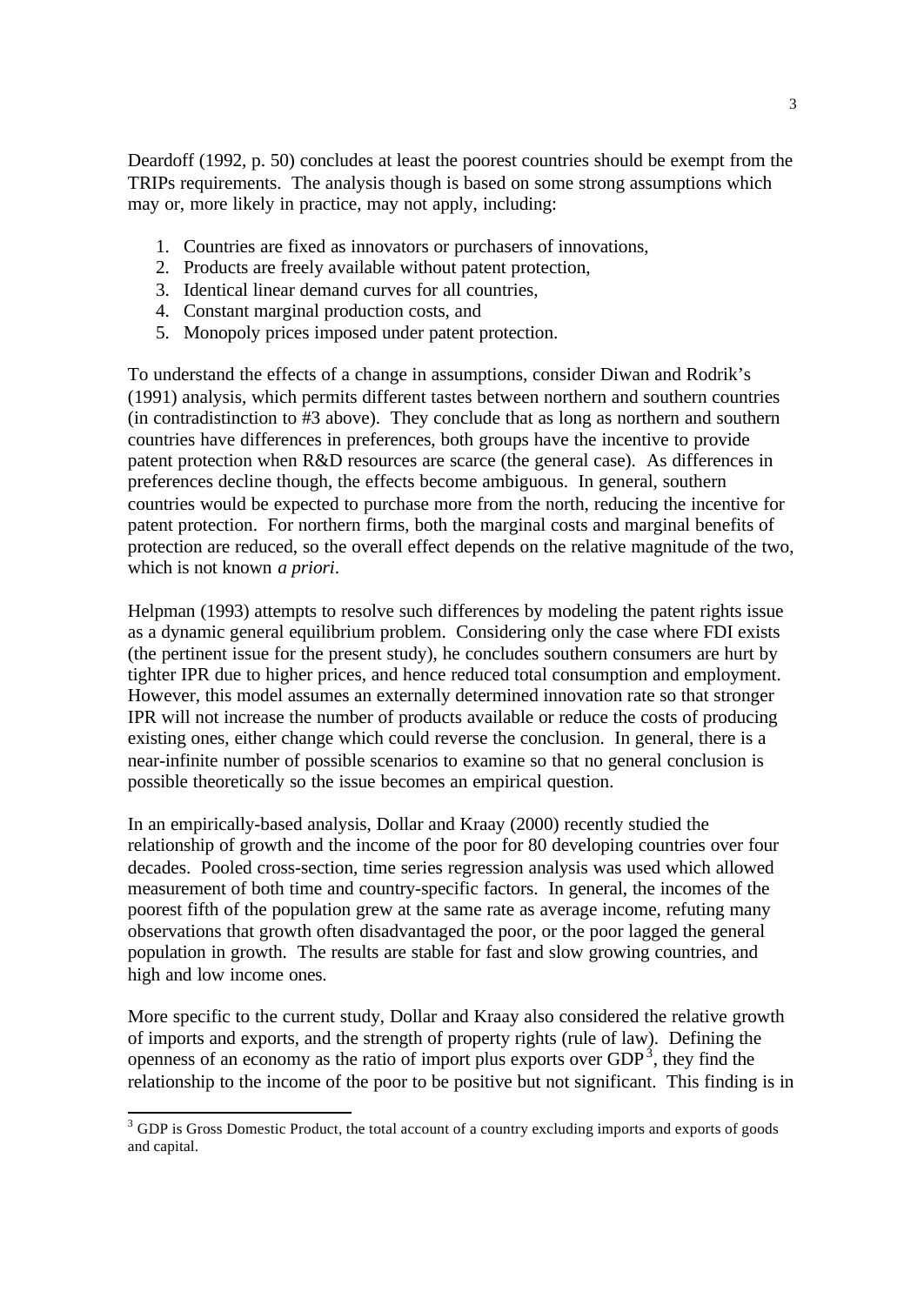Deardoff (1992, p. 50) concludes at least the poorest countries should be exempt from the TRIPs requirements. The analysis though is based on some strong assumptions which may or, more likely in practice, may not apply, including:

- 1. Countries are fixed as innovators or purchasers of innovations,
- 2. Products are freely available without patent protection,
- 3. Identical linear demand curves for all countries,
- 4. Constant marginal production costs, and
- 5. Monopoly prices imposed under patent protection.

To understand the effects of a change in assumptions, consider Diwan and Rodrik's (1991) analysis, which permits different tastes between northern and southern countries (in contradistinction to #3 above). They conclude that as long as northern and southern countries have differences in preferences, both groups have the incentive to provide patent protection when R&D resources are scarce (the general case). As differences in preferences decline though, the effects become ambiguous. In general, southern countries would be expected to purchase more from the north, reducing the incentive for patent protection. For northern firms, both the marginal costs and marginal benefits of protection are reduced, so the overall effect depends on the relative magnitude of the two, which is not known *a priori*.

Helpman (1993) attempts to resolve such differences by modeling the patent rights issue as a dynamic general equilibrium problem. Considering only the case where FDI exists (the pertinent issue for the present study), he concludes southern consumers are hurt by tighter IPR due to higher prices, and hence reduced total consumption and employment. However, this model assumes an externally determined innovation rate so that stronger IPR will not increase the number of products available or reduce the costs of producing existing ones, either change which could reverse the conclusion. In general, there is a near-infinite number of possible scenarios to examine so that no general conclusion is possible theoretically so the issue becomes an empirical question.

In an empirically-based analysis, Dollar and Kraay (2000) recently studied the relationship of growth and the income of the poor for 80 developing countries over four decades. Pooled cross-section, time series regression analysis was used which allowed measurement of both time and country-specific factors. In general, the incomes of the poorest fifth of the population grew at the same rate as average income, refuting many observations that growth often disadvantaged the poor, or the poor lagged the general population in growth. The results are stable for fast and slow growing countries, and high and low income ones.

More specific to the current study, Dollar and Kraay also considered the relative growth of imports and exports, and the strength of property rights (rule of law). Defining the openness of an economy as the ratio of import plus exports over  $GDP<sup>3</sup>$ , they find the relationship to the income of the poor to be positive but not significant. This finding is in

 $3$  GDP is Gross Domestic Product, the total account of a country excluding imports and exports of goods and capital.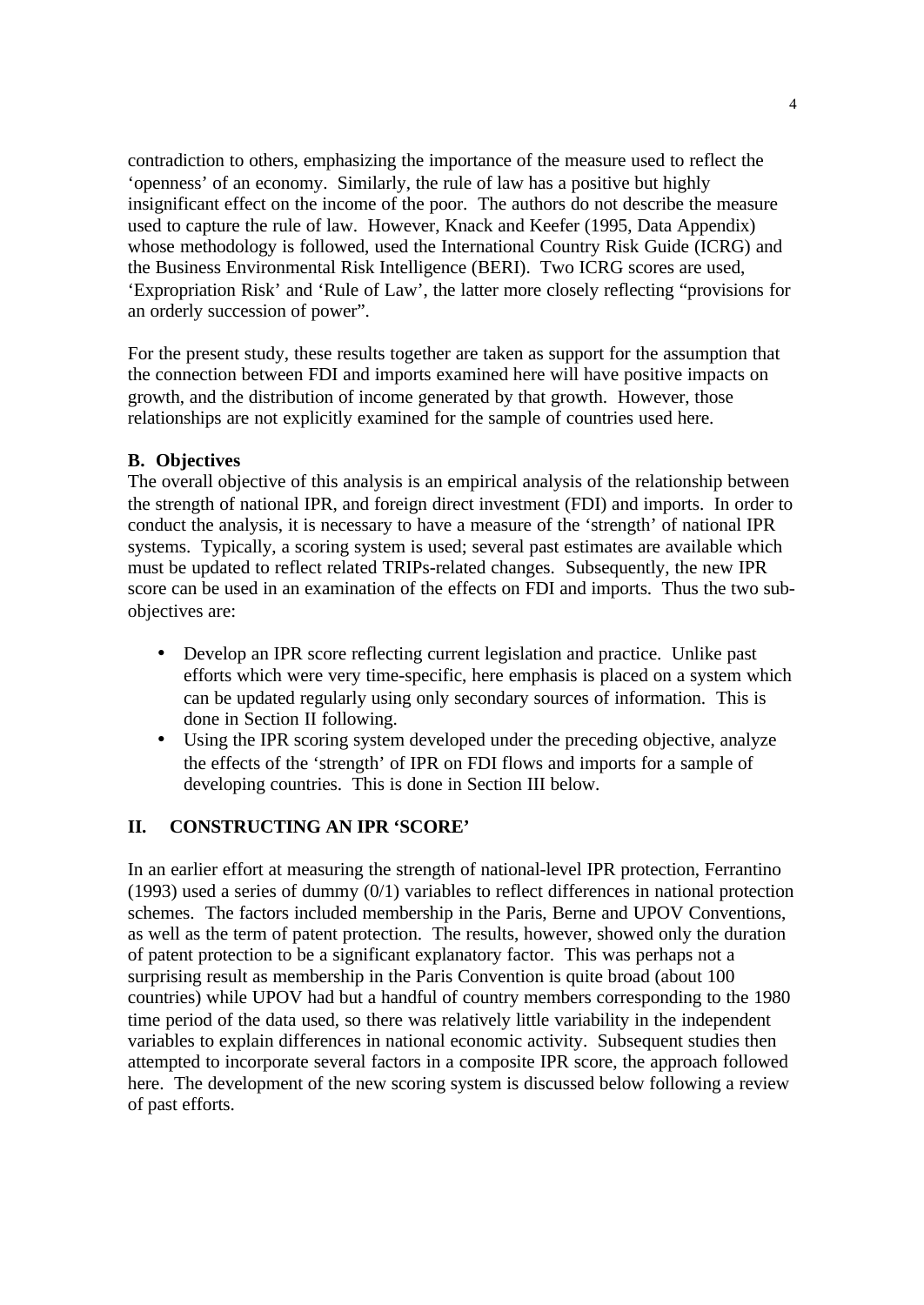contradiction to others, emphasizing the importance of the measure used to reflect the 'openness' of an economy. Similarly, the rule of law has a positive but highly insignificant effect on the income of the poor. The authors do not describe the measure used to capture the rule of law. However, Knack and Keefer (1995, Data Appendix) whose methodology is followed, used the International Country Risk Guide (ICRG) and the Business Environmental Risk Intelligence (BERI). Two ICRG scores are used, 'Expropriation Risk' and 'Rule of Law', the latter more closely reflecting "provisions for an orderly succession of power".

For the present study, these results together are taken as support for the assumption that the connection between FDI and imports examined here will have positive impacts on growth, and the distribution of income generated by that growth. However, those relationships are not explicitly examined for the sample of countries used here.

### **B. Objectives**

The overall objective of this analysis is an empirical analysis of the relationship between the strength of national IPR, and foreign direct investment (FDI) and imports. In order to conduct the analysis, it is necessary to have a measure of the 'strength' of national IPR systems. Typically, a scoring system is used; several past estimates are available which must be updated to reflect related TRIPs-related changes. Subsequently, the new IPR score can be used in an examination of the effects on FDI and imports. Thus the two subobjectives are:

- Develop an IPR score reflecting current legislation and practice. Unlike past efforts which were very time-specific, here emphasis is placed on a system which can be updated regularly using only secondary sources of information. This is done in Section II following.
- Using the IPR scoring system developed under the preceding objective, analyze the effects of the 'strength' of IPR on FDI flows and imports for a sample of developing countries. This is done in Section III below.

### **II. CONSTRUCTING AN IPR 'SCORE'**

In an earlier effort at measuring the strength of national-level IPR protection, Ferrantino (1993) used a series of dummy (0/1) variables to reflect differences in national protection schemes. The factors included membership in the Paris, Berne and UPOV Conventions, as well as the term of patent protection. The results, however, showed only the duration of patent protection to be a significant explanatory factor. This was perhaps not a surprising result as membership in the Paris Convention is quite broad (about 100 countries) while UPOV had but a handful of country members corresponding to the 1980 time period of the data used, so there was relatively little variability in the independent variables to explain differences in national economic activity. Subsequent studies then attempted to incorporate several factors in a composite IPR score, the approach followed here. The development of the new scoring system is discussed below following a review of past efforts.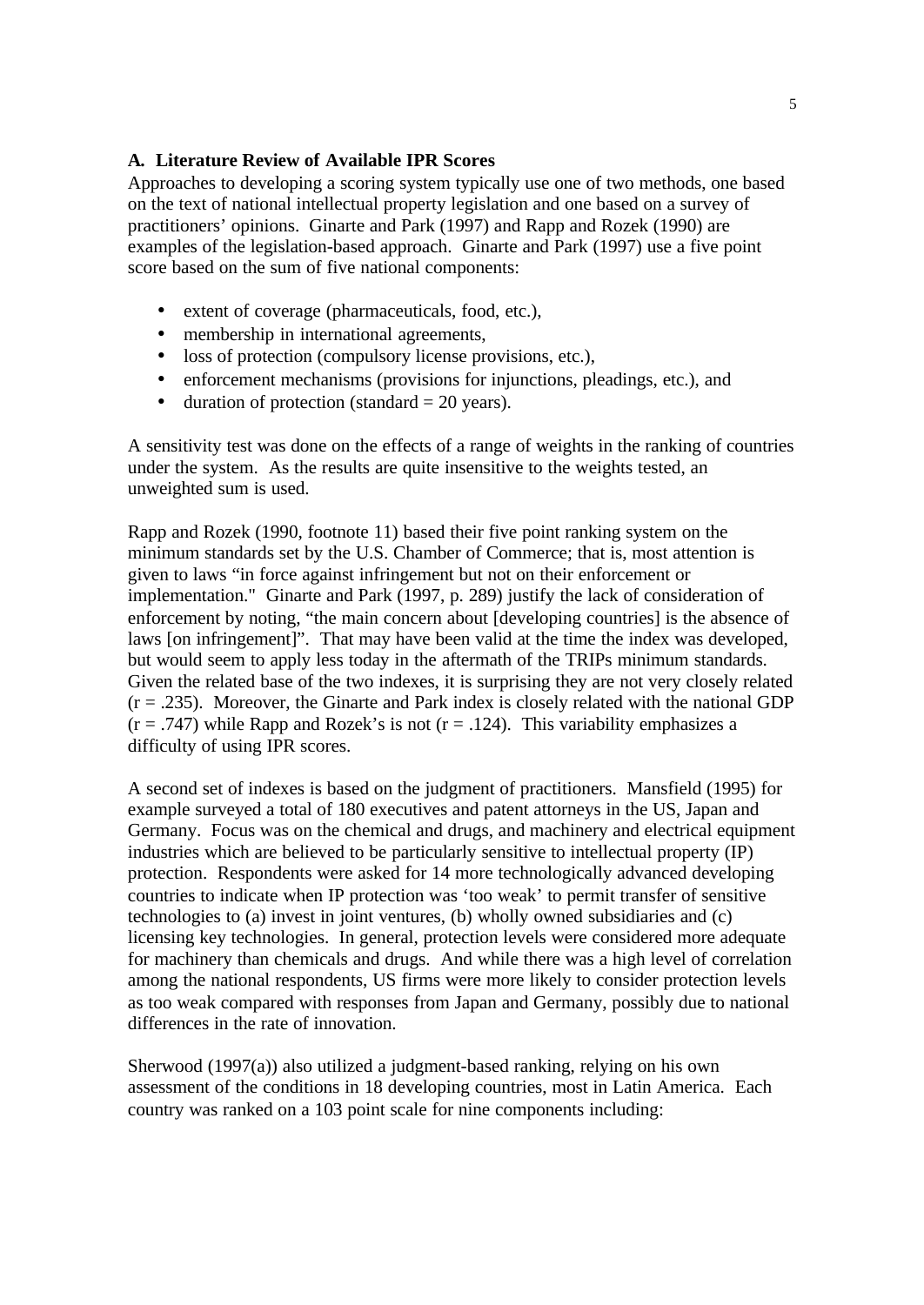### **A. Literature Review of Available IPR Scores**

Approaches to developing a scoring system typically use one of two methods, one based on the text of national intellectual property legislation and one based on a survey of practitioners' opinions. Ginarte and Park (1997) and Rapp and Rozek (1990) are examples of the legislation-based approach. Ginarte and Park (1997) use a five point score based on the sum of five national components:

- extent of coverage (pharmaceuticals, food, etc.),
- membership in international agreements,
- loss of protection (compulsory license provisions, etc.),
- enforcement mechanisms (provisions for injunctions, pleadings, etc.), and
- duration of protection (standard  $= 20$  years).

A sensitivity test was done on the effects of a range of weights in the ranking of countries under the system. As the results are quite insensitive to the weights tested, an unweighted sum is used.

Rapp and Rozek (1990, footnote 11) based their five point ranking system on the minimum standards set by the U.S. Chamber of Commerce; that is, most attention is given to laws "in force against infringement but not on their enforcement or implementation." Ginarte and Park (1997, p. 289) justify the lack of consideration of enforcement by noting, "the main concern about [developing countries] is the absence of laws [on infringement]". That may have been valid at the time the index was developed, but would seem to apply less today in the aftermath of the TRIPs minimum standards. Given the related base of the two indexes, it is surprising they are not very closely related  $(r = .235)$ . Moreover, the Ginarte and Park index is closely related with the national GDP  $(r = .747)$  while Rapp and Rozek's is not  $(r = .124)$ . This variability emphasizes a difficulty of using IPR scores.

A second set of indexes is based on the judgment of practitioners. Mansfield (1995) for example surveyed a total of 180 executives and patent attorneys in the US, Japan and Germany. Focus was on the chemical and drugs, and machinery and electrical equipment industries which are believed to be particularly sensitive to intellectual property (IP) protection. Respondents were asked for 14 more technologically advanced developing countries to indicate when IP protection was 'too weak' to permit transfer of sensitive technologies to (a) invest in joint ventures, (b) wholly owned subsidiaries and (c) licensing key technologies. In general, protection levels were considered more adequate for machinery than chemicals and drugs. And while there was a high level of correlation among the national respondents, US firms were more likely to consider protection levels as too weak compared with responses from Japan and Germany, possibly due to national differences in the rate of innovation.

Sherwood (1997(a)) also utilized a judgment-based ranking, relying on his own assessment of the conditions in 18 developing countries, most in Latin America. Each country was ranked on a 103 point scale for nine components including: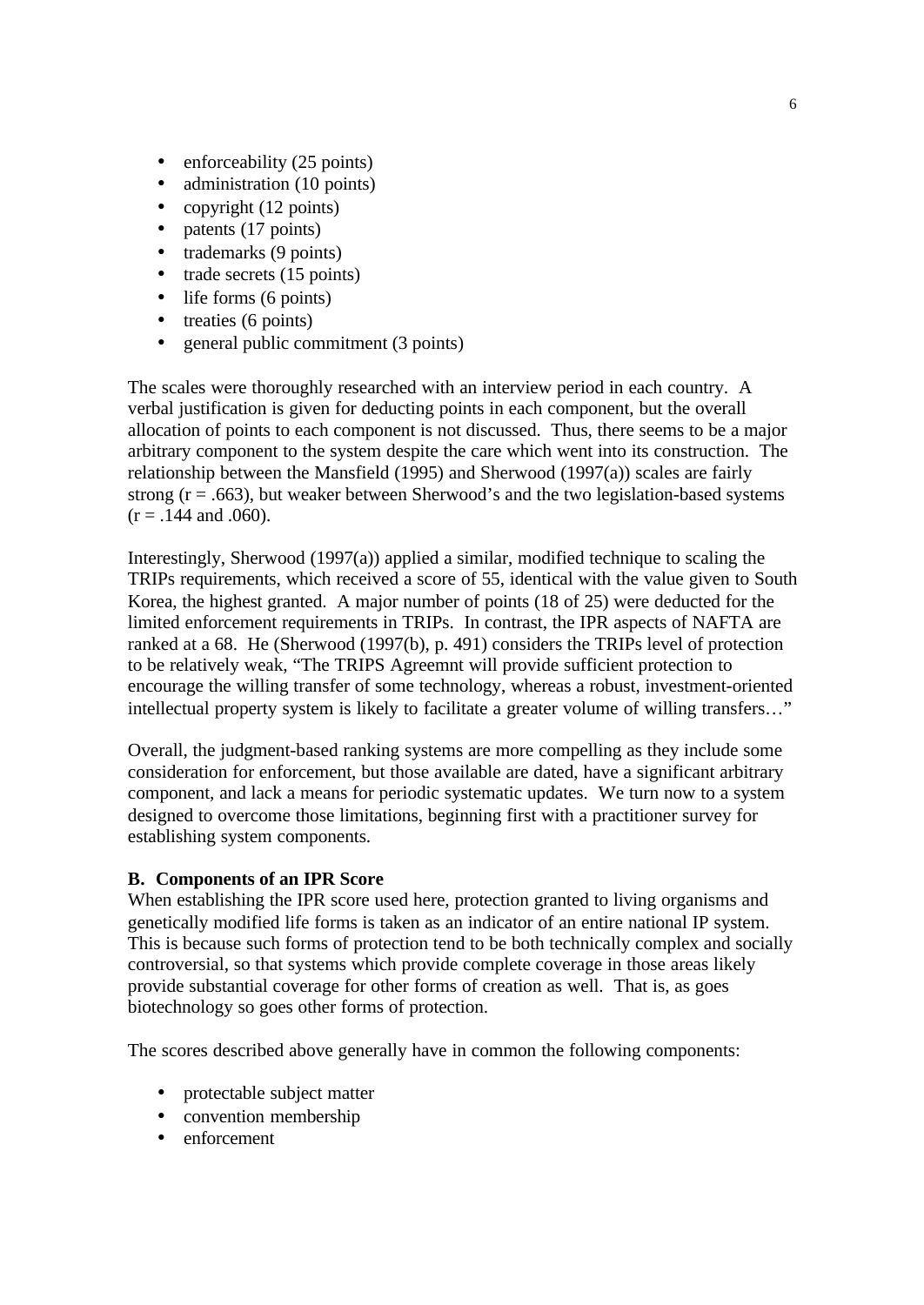- enforceability (25 points)
- administration (10 points)
- copyright (12 points)
- $\bullet$  patents (17 points)
- trademarks (9 points)
- trade secrets (15 points)
- life forms (6 points)
- treaties (6 points)
- general public commitment (3 points)

The scales were thoroughly researched with an interview period in each country. A verbal justification is given for deducting points in each component, but the overall allocation of points to each component is not discussed. Thus, there seems to be a major arbitrary component to the system despite the care which went into its construction. The relationship between the Mansfield (1995) and Sherwood (1997(a)) scales are fairly strong  $(r = .663)$ , but weaker between Sherwood's and the two legislation-based systems  $(r = .144$  and .060).

Interestingly, Sherwood (1997(a)) applied a similar, modified technique to scaling the TRIPs requirements, which received a score of 55, identical with the value given to South Korea, the highest granted. A major number of points (18 of 25) were deducted for the limited enforcement requirements in TRIPs. In contrast, the IPR aspects of NAFTA are ranked at a 68. He (Sherwood (1997(b), p. 491) considers the TRIPs level of protection to be relatively weak, "The TRIPS Agreemnt will provide sufficient protection to encourage the willing transfer of some technology, whereas a robust, investment-oriented intellectual property system is likely to facilitate a greater volume of willing transfers…"

Overall, the judgment-based ranking systems are more compelling as they include some consideration for enforcement, but those available are dated, have a significant arbitrary component, and lack a means for periodic systematic updates. We turn now to a system designed to overcome those limitations, beginning first with a practitioner survey for establishing system components.

#### **B. Components of an IPR Score**

When establishing the IPR score used here, protection granted to living organisms and genetically modified life forms is taken as an indicator of an entire national IP system. This is because such forms of protection tend to be both technically complex and socially controversial, so that systems which provide complete coverage in those areas likely provide substantial coverage for other forms of creation as well. That is, as goes biotechnology so goes other forms of protection.

The scores described above generally have in common the following components:

- protectable subject matter
- convention membership
- enforcement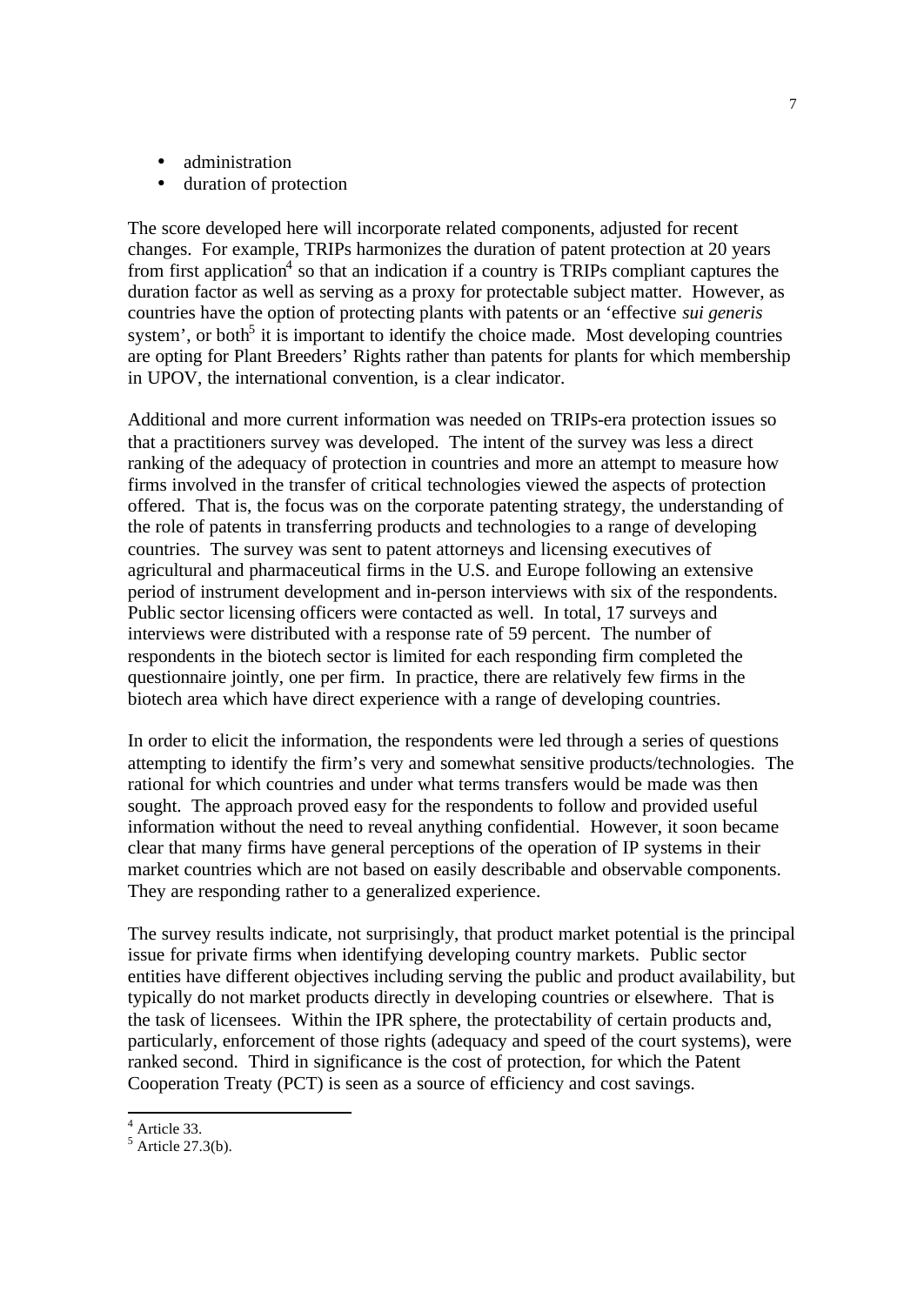- administration
- duration of protection

The score developed here will incorporate related components, adjusted for recent changes. For example, TRIPs harmonizes the duration of patent protection at 20 years from first application<sup>4</sup> so that an indication if a country is TRIPs compliant captures the duration factor as well as serving as a proxy for protectable subject matter. However, as countries have the option of protecting plants with patents or an 'effective *sui generis* system', or both<sup>5</sup> it is important to identify the choice made. Most developing countries are opting for Plant Breeders' Rights rather than patents for plants for which membership in UPOV, the international convention, is a clear indicator.

Additional and more current information was needed on TRIPs-era protection issues so that a practitioners survey was developed. The intent of the survey was less a direct ranking of the adequacy of protection in countries and more an attempt to measure how firms involved in the transfer of critical technologies viewed the aspects of protection offered. That is, the focus was on the corporate patenting strategy, the understanding of the role of patents in transferring products and technologies to a range of developing countries. The survey was sent to patent attorneys and licensing executives of agricultural and pharmaceutical firms in the U.S. and Europe following an extensive period of instrument development and in-person interviews with six of the respondents. Public sector licensing officers were contacted as well. In total, 17 surveys and interviews were distributed with a response rate of 59 percent. The number of respondents in the biotech sector is limited for each responding firm completed the questionnaire jointly, one per firm. In practice, there are relatively few firms in the biotech area which have direct experience with a range of developing countries.

In order to elicit the information, the respondents were led through a series of questions attempting to identify the firm's very and somewhat sensitive products/technologies. The rational for which countries and under what terms transfers would be made was then sought. The approach proved easy for the respondents to follow and provided useful information without the need to reveal anything confidential. However, it soon became clear that many firms have general perceptions of the operation of IP systems in their market countries which are not based on easily describable and observable components. They are responding rather to a generalized experience.

The survey results indicate, not surprisingly, that product market potential is the principal issue for private firms when identifying developing country markets. Public sector entities have different objectives including serving the public and product availability, but typically do not market products directly in developing countries or elsewhere. That is the task of licensees. Within the IPR sphere, the protectability of certain products and, particularly, enforcement of those rights (adequacy and speed of the court systems), were ranked second. Third in significance is the cost of protection, for which the Patent Cooperation Treaty (PCT) is seen as a source of efficiency and cost savings.

 4 Article 33.

 $<sup>5</sup>$  Article 27.3(b).</sup>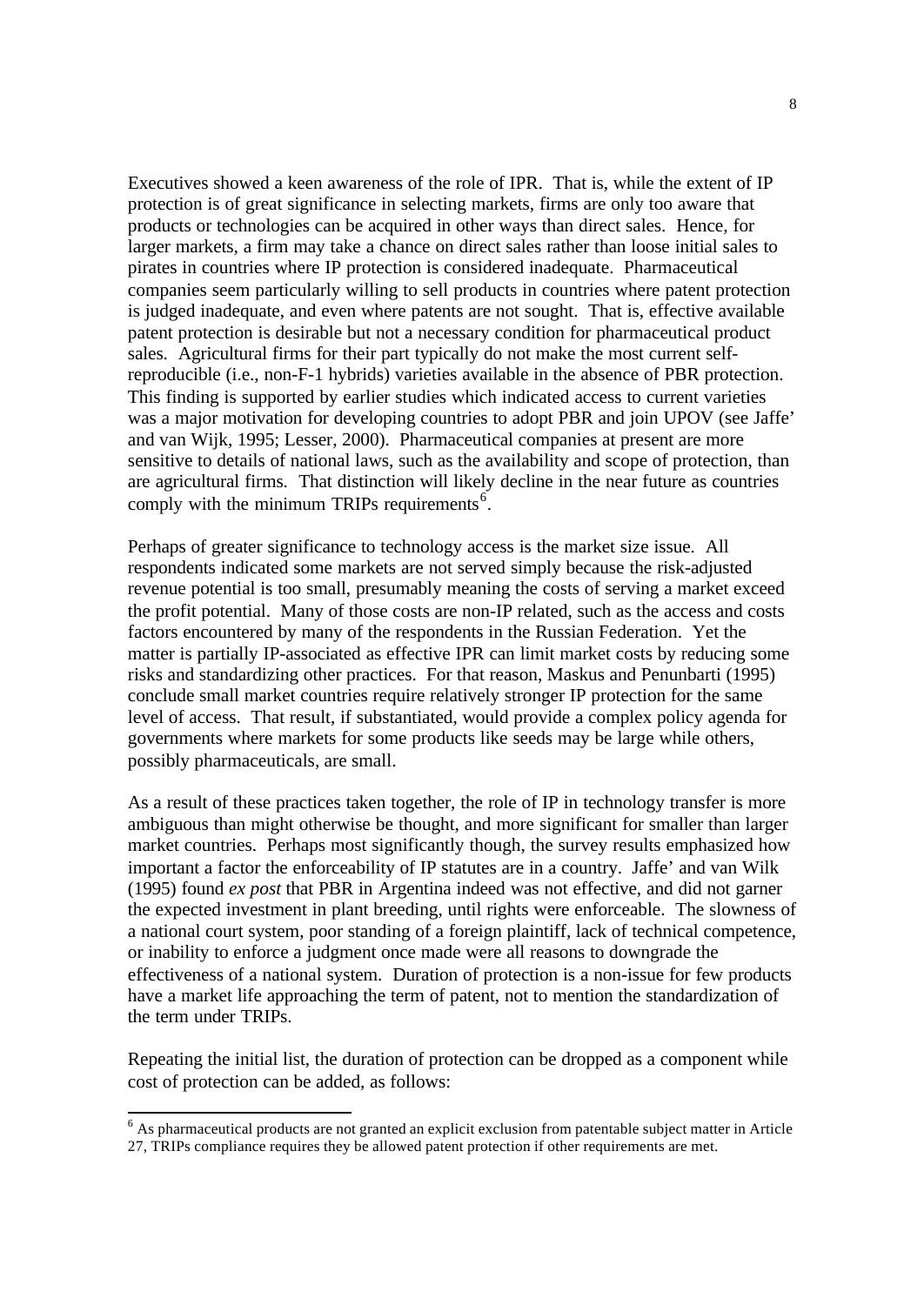Executives showed a keen awareness of the role of IPR. That is, while the extent of IP protection is of great significance in selecting markets, firms are only too aware that products or technologies can be acquired in other ways than direct sales. Hence, for larger markets, a firm may take a chance on direct sales rather than loose initial sales to pirates in countries where IP protection is considered inadequate. Pharmaceutical companies seem particularly willing to sell products in countries where patent protection is judged inadequate, and even where patents are not sought. That is, effective available patent protection is desirable but not a necessary condition for pharmaceutical product sales. Agricultural firms for their part typically do not make the most current selfreproducible (i.e., non-F-1 hybrids) varieties available in the absence of PBR protection. This finding is supported by earlier studies which indicated access to current varieties was a major motivation for developing countries to adopt PBR and join UPOV (see Jaffe' and van Wijk, 1995; Lesser, 2000). Pharmaceutical companies at present are more sensitive to details of national laws, such as the availability and scope of protection, than are agricultural firms. That distinction will likely decline in the near future as countries comply with the minimum TRIPs requirements<sup>6</sup>.

Perhaps of greater significance to technology access is the market size issue. All respondents indicated some markets are not served simply because the risk-adjusted revenue potential is too small, presumably meaning the costs of serving a market exceed the profit potential. Many of those costs are non-IP related, such as the access and costs factors encountered by many of the respondents in the Russian Federation. Yet the matter is partially IP-associated as effective IPR can limit market costs by reducing some risks and standardizing other practices. For that reason, Maskus and Penunbarti (1995) conclude small market countries require relatively stronger IP protection for the same level of access. That result, if substantiated, would provide a complex policy agenda for governments where markets for some products like seeds may be large while others, possibly pharmaceuticals, are small.

As a result of these practices taken together, the role of IP in technology transfer is more ambiguous than might otherwise be thought, and more significant for smaller than larger market countries. Perhaps most significantly though, the survey results emphasized how important a factor the enforceability of IP statutes are in a country. Jaffe' and van Wilk (1995) found *ex post* that PBR in Argentina indeed was not effective, and did not garner the expected investment in plant breeding, until rights were enforceable. The slowness of a national court system, poor standing of a foreign plaintiff, lack of technical competence, or inability to enforce a judgment once made were all reasons to downgrade the effectiveness of a national system. Duration of protection is a non-issue for few products have a market life approaching the term of patent, not to mention the standardization of the term under TRIPs.

Repeating the initial list, the duration of protection can be dropped as a component while cost of protection can be added, as follows:

 $<sup>6</sup>$  As pharmaceutical products are not granted an explicit exclusion from patentable subject matter in Article</sup> 27, TRIPs compliance requires they be allowed patent protection if other requirements are met.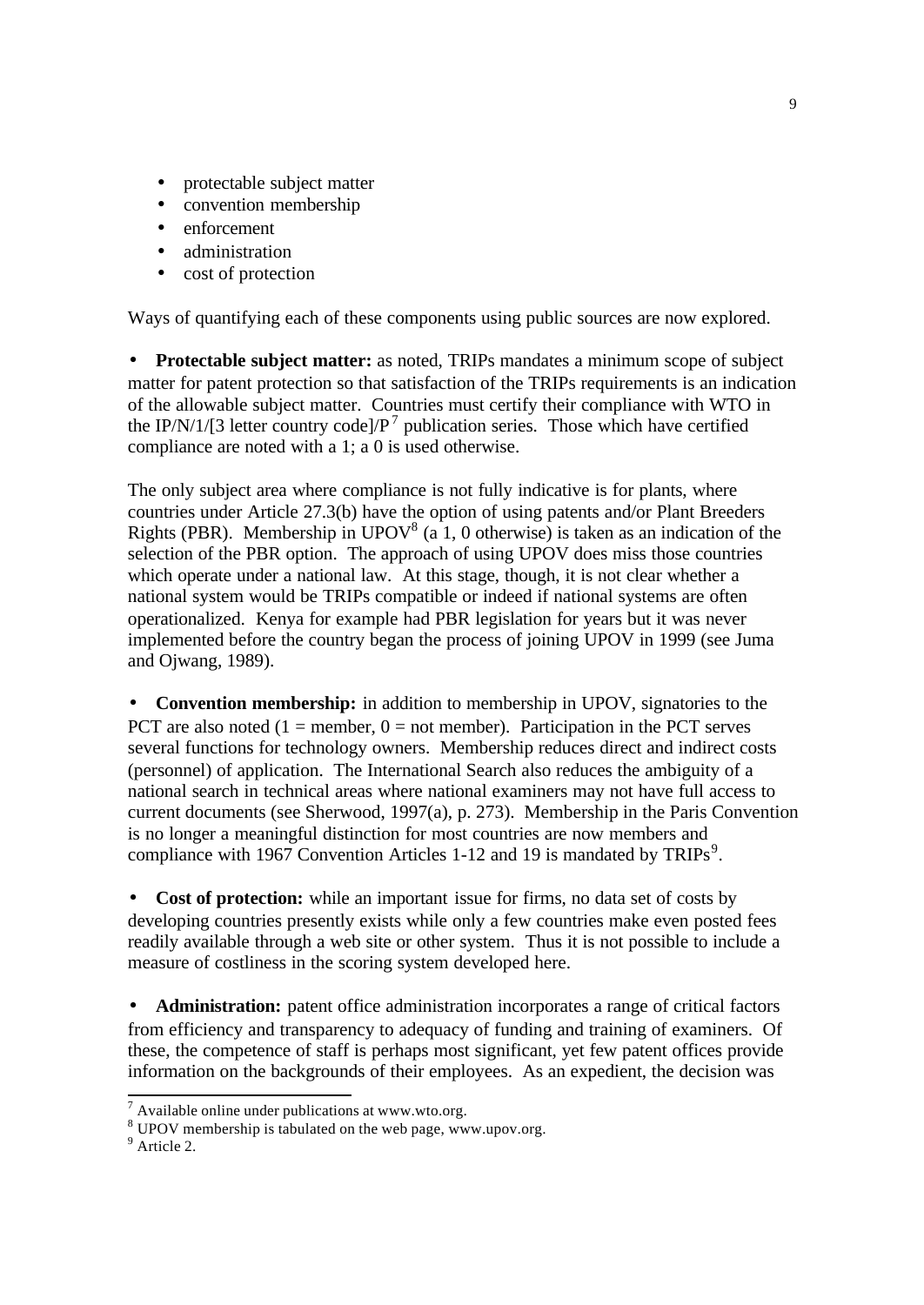- protectable subject matter
- convention membership
- enforcement
- administration
- cost of protection

Ways of quantifying each of these components using public sources are now explored.

• **Protectable subject matter:** as noted, TRIPs mandates a minimum scope of subject matter for patent protection so that satisfaction of the TRIPs requirements is an indication of the allowable subject matter. Countries must certify their compliance with WTO in the IP/N/1/[3 letter country code]/ $P<sup>7</sup>$  publication series. Those which have certified compliance are noted with a 1; a 0 is used otherwise.

The only subject area where compliance is not fully indicative is for plants, where countries under Article 27.3(b) have the option of using patents and/or Plant Breeders Rights (PBR). Membership in UPOV<sup>8</sup> (a 1, 0 otherwise) is taken as an indication of the selection of the PBR option. The approach of using UPOV does miss those countries which operate under a national law. At this stage, though, it is not clear whether a national system would be TRIPs compatible or indeed if national systems are often operationalized. Kenya for example had PBR legislation for years but it was never implemented before the country began the process of joining UPOV in 1999 (see Juma and Ojwang, 1989).

• **Convention membership:** in addition to membership in UPOV, signatories to the PCT are also noted  $(1 =$  member,  $0 =$  not member). Participation in the PCT serves several functions for technology owners. Membership reduces direct and indirect costs (personnel) of application. The International Search also reduces the ambiguity of a national search in technical areas where national examiners may not have full access to current documents (see Sherwood, 1997(a), p. 273). Membership in the Paris Convention is no longer a meaningful distinction for most countries are now members and compliance with 1967 Convention Articles 1-12 and 19 is mandated by TRIPs<sup>9</sup>.

• **Cost of protection:** while an important issue for firms, no data set of costs by developing countries presently exists while only a few countries make even posted fees readily available through a web site or other system. Thus it is not possible to include a measure of costliness in the scoring system developed here.

• **Administration:** patent office administration incorporates a range of critical factors from efficiency and transparency to adequacy of funding and training of examiners. Of these, the competence of staff is perhaps most significant, yet few patent offices provide information on the backgrounds of their employees. As an expedient, the decision was

<sup>9</sup> Article 2.

 $^7$  Available online under publications at www.wto.org.

 $8$  UPOV membership is tabulated on the web page, www.upov.org.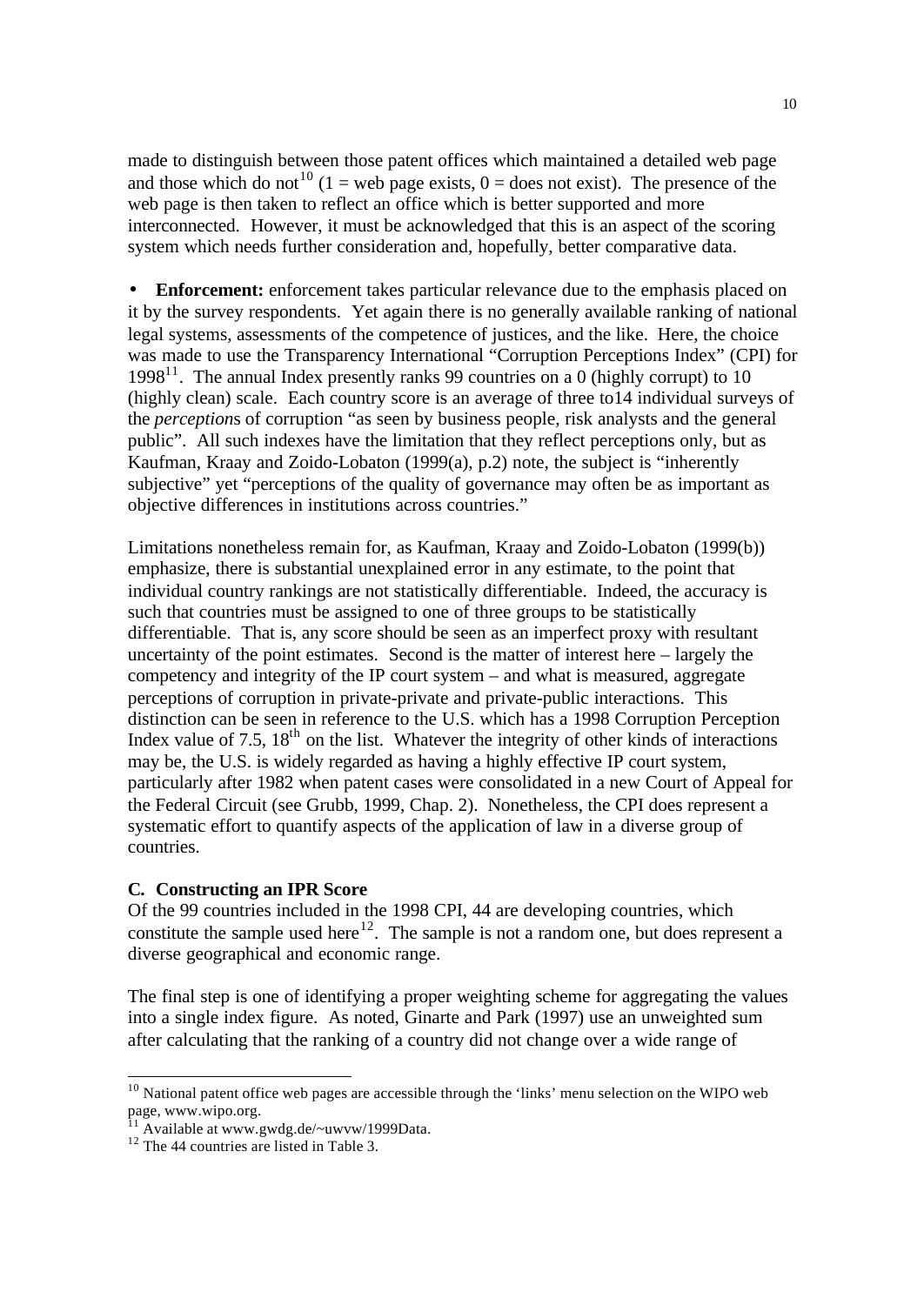made to distinguish between those patent offices which maintained a detailed web page and those which do not<sup>10</sup> (1 = web page exists, 0 = does not exist). The presence of the web page is then taken to reflect an office which is better supported and more interconnected. However, it must be acknowledged that this is an aspect of the scoring system which needs further consideration and, hopefully, better comparative data.

• **Enforcement:** enforcement takes particular relevance due to the emphasis placed on it by the survey respondents. Yet again there is no generally available ranking of national legal systems, assessments of the competence of justices, and the like. Here, the choice was made to use the Transparency International "Corruption Perceptions Index" (CPI) for 1998<sup>11</sup>. The annual Index presently ranks 99 countries on a 0 (highly corrupt) to 10 (highly clean) scale. Each country score is an average of three to14 individual surveys of the *perception*s of corruption "as seen by business people, risk analysts and the general public". All such indexes have the limitation that they reflect perceptions only, but as Kaufman, Kraay and Zoido-Lobaton (1999(a), p.2) note, the subject is "inherently subjective" yet "perceptions of the quality of governance may often be as important as objective differences in institutions across countries."

Limitations nonetheless remain for, as Kaufman, Kraay and Zoido-Lobaton (1999(b)) emphasize, there is substantial unexplained error in any estimate, to the point that individual country rankings are not statistically differentiable. Indeed, the accuracy is such that countries must be assigned to one of three groups to be statistically differentiable. That is, any score should be seen as an imperfect proxy with resultant uncertainty of the point estimates. Second is the matter of interest here – largely the competency and integrity of the IP court system – and what is measured, aggregate perceptions of corruption in private-private and private-public interactions. This distinction can be seen in reference to the U.S. which has a 1998 Corruption Perception Index value of 7.5,  $18<sup>th</sup>$  on the list. Whatever the integrity of other kinds of interactions may be, the U.S. is widely regarded as having a highly effective IP court system, particularly after 1982 when patent cases were consolidated in a new Court of Appeal for the Federal Circuit (see Grubb, 1999, Chap. 2). Nonetheless, the CPI does represent a systematic effort to quantify aspects of the application of law in a diverse group of countries.

### **C. Constructing an IPR Score**

Of the 99 countries included in the 1998 CPI, 44 are developing countries, which constitute the sample used here<sup>12</sup>. The sample is not a random one, but does represent a diverse geographical and economic range.

The final step is one of identifying a proper weighting scheme for aggregating the values into a single index figure. As noted, Ginarte and Park (1997) use an unweighted sum after calculating that the ranking of a country did not change over a wide range of

<sup>&</sup>lt;sup>10</sup> National patent office web pages are accessible through the 'links' menu selection on the WIPO web page, www.wipo.org.

<sup>&</sup>lt;sup>11</sup> Available at www.gwdg.de/~uwvw/1999Data.

<sup>&</sup>lt;sup>12</sup> The 44 countries are listed in Table 3.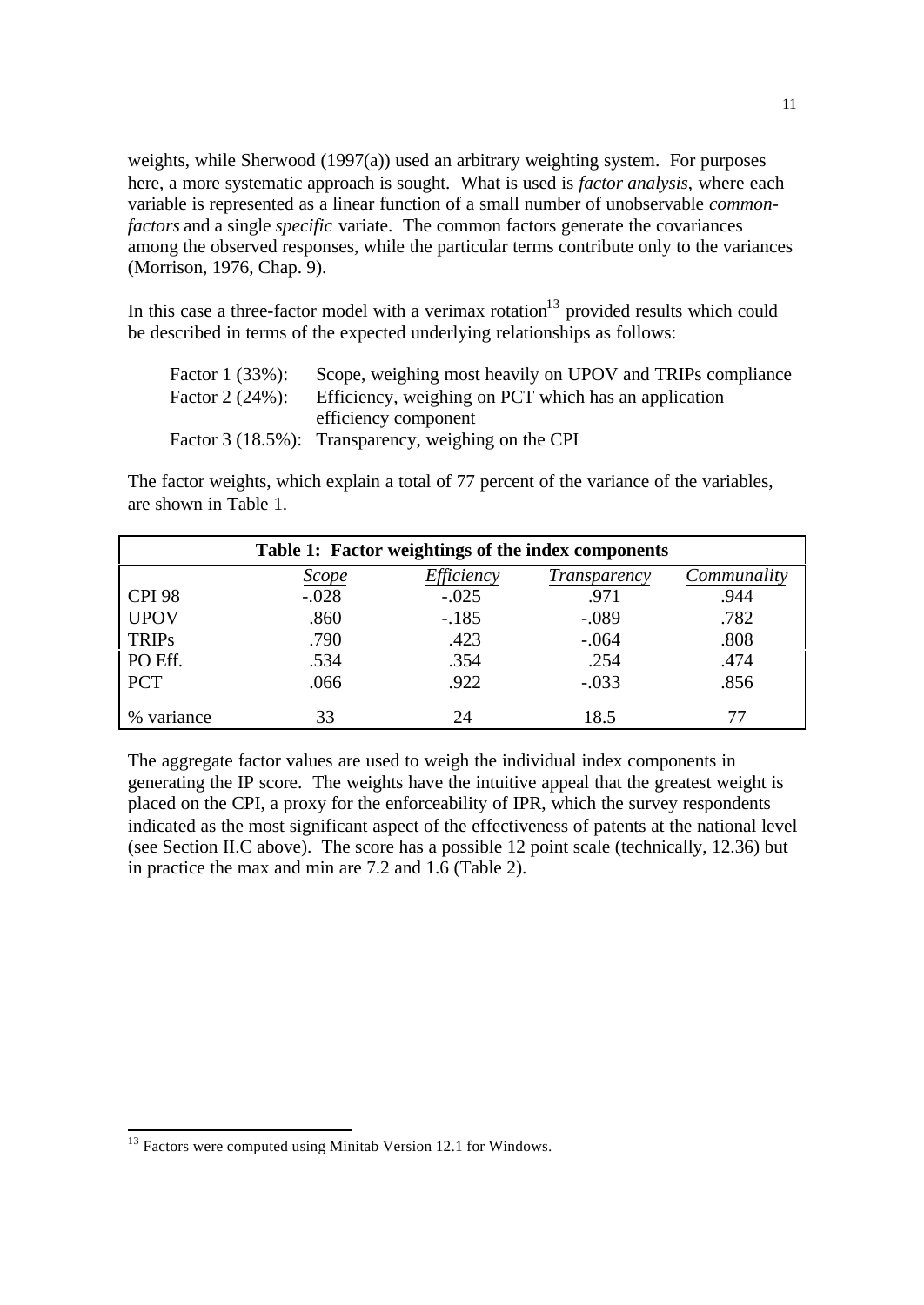weights, while Sherwood (1997(a)) used an arbitrary weighting system. For purposes here, a more systematic approach is sought. What is used is *factor analysis*, where each variable is represented as a linear function of a small number of unobservable *commonfactors* and a single *specific* variate. The common factors generate the covariances among the observed responses, while the particular terms contribute only to the variances (Morrison, 1976, Chap. 9).

In this case a three-factor model with a verimax rotation $13$  provided results which could be described in terms of the expected underlying relationships as follows:

| Factor $1(33%)$ : | Scope, weighing most heavily on UPOV and TRIPs compliance |
|-------------------|-----------------------------------------------------------|
| Factor $2(24%)$ : | Efficiency, weighing on PCT which has an application      |
|                   | efficiency component                                      |
|                   | Factor 3 (18.5%): Transparency, weighing on the CPI       |

The factor weights, which explain a total of 77 percent of the variance of the variables, are shown in Table 1.

| Table 1: Factor weightings of the index components |              |                   |              |             |  |  |  |  |
|----------------------------------------------------|--------------|-------------------|--------------|-------------|--|--|--|--|
|                                                    | <u>Scope</u> | <i>Efficiency</i> | Transparency | Communality |  |  |  |  |
| <b>CPI 98</b>                                      | $-.028$      | $-.025$           | .971         | .944        |  |  |  |  |
| <b>UPOV</b>                                        | .860         | $-.185$           | $-.089$      | .782        |  |  |  |  |
| <b>TRIPs</b>                                       | .790         | .423              | $-.064$      | .808        |  |  |  |  |
| PO Eff.                                            | .534         | .354              | .254         | .474        |  |  |  |  |
| <b>PCT</b>                                         | .066         | .922              | $-.033$      | .856        |  |  |  |  |
| $\%$<br>variance                                   | 33           | 24                | 18.5         |             |  |  |  |  |

The aggregate factor values are used to weigh the individual index components in generating the IP score. The weights have the intuitive appeal that the greatest weight is placed on the CPI, a proxy for the enforceability of IPR, which the survey respondents indicated as the most significant aspect of the effectiveness of patents at the national level (see Section II.C above). The score has a possible 12 point scale (technically, 12.36) but in practice the max and min are 7.2 and 1.6 (Table 2).

<sup>11</sup>

 $13$  Factors were computed using Minitab Version 12.1 for Windows.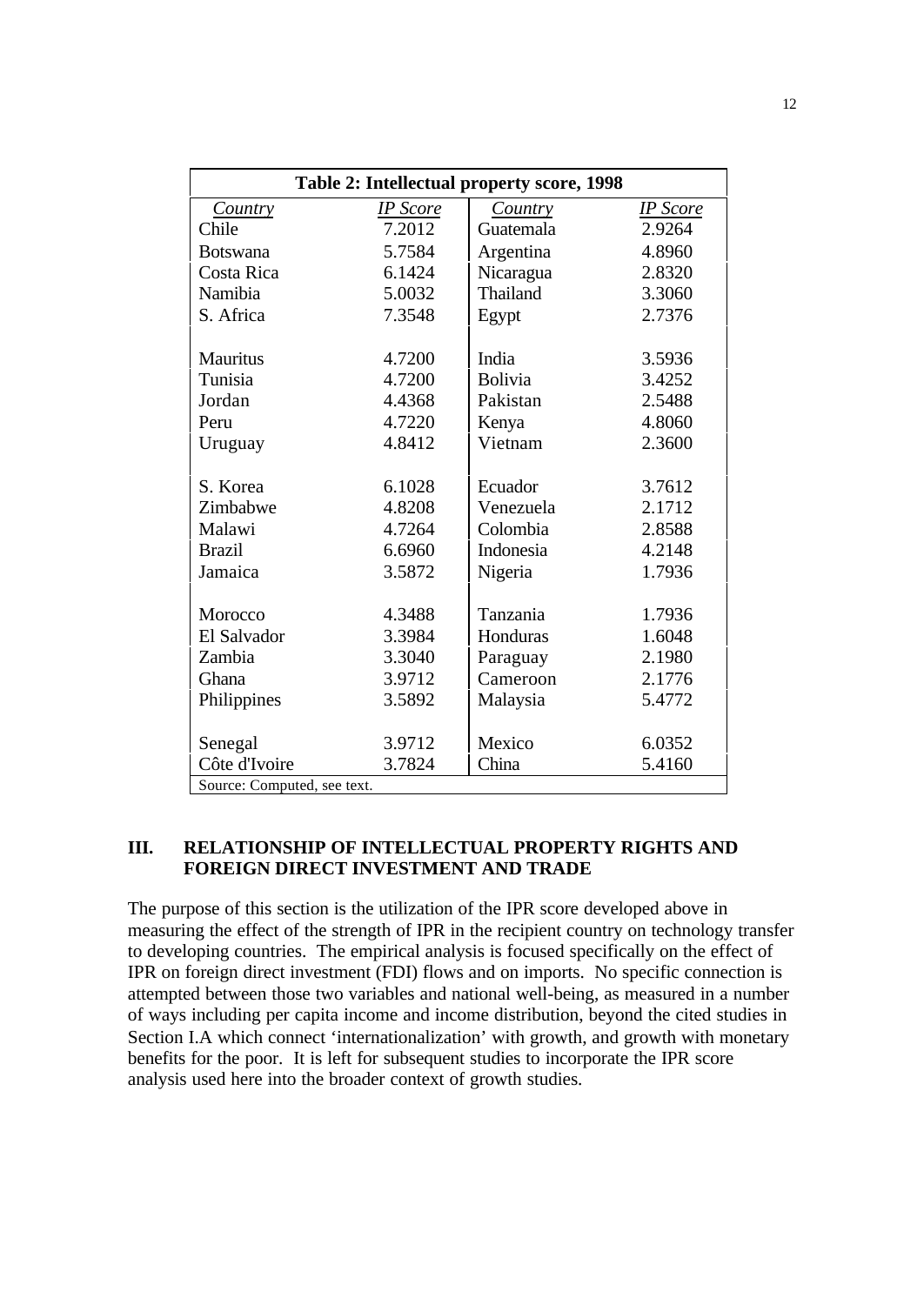| Table 2: Intellectual property score, 1998 |                  |                |                  |  |  |  |  |
|--------------------------------------------|------------------|----------------|------------------|--|--|--|--|
| Country                                    | <b>IP</b> Score  | Country        | <b>IP</b> Score  |  |  |  |  |
| Chile                                      | 7.2012           | Guatemala      | 2.9264           |  |  |  |  |
| <b>Botswana</b>                            | 5.7584           | Argentina      | 4.8960           |  |  |  |  |
| Costa Rica                                 | 6.1424           | Nicaragua      | 2.8320           |  |  |  |  |
| Namibia                                    | 5.0032           | Thailand       | 3.3060           |  |  |  |  |
| S. Africa                                  | 7.3548           | Egypt          | 2.7376           |  |  |  |  |
| <b>Mauritus</b>                            | 4.7200           | India          | 3.5936           |  |  |  |  |
| Tunisia                                    | 4.7200           | <b>Bolivia</b> | 3.4252           |  |  |  |  |
| Jordan                                     | 4.4368           | Pakistan       | 2.5488           |  |  |  |  |
| Peru                                       | 4.7220           | Kenya          | 4.8060           |  |  |  |  |
| Uruguay                                    | 4.8412           | Vietnam        | 2.3600           |  |  |  |  |
| S. Korea                                   | 6.1028           | Ecuador        | 3.7612           |  |  |  |  |
| Zimbabwe                                   | 4.8208           | Venezuela      | 2.1712           |  |  |  |  |
| Malawi                                     | 4.7264           | Colombia       | 2.8588           |  |  |  |  |
| <b>Brazil</b>                              | 6.6960           | Indonesia      | 4.2148           |  |  |  |  |
| Jamaica                                    | 3.5872           | Nigeria        | 1.7936           |  |  |  |  |
| Morocco                                    | 4.3488           | Tanzania       | 1.7936           |  |  |  |  |
| El Salvador                                |                  | Honduras       |                  |  |  |  |  |
| Zambia                                     | 3.3984<br>3.3040 |                | 1.6048<br>2.1980 |  |  |  |  |
|                                            |                  | Paraguay       |                  |  |  |  |  |
| Ghana                                      | 3.9712           | Cameroon       | 2.1776           |  |  |  |  |
| Philippines                                | 3.5892           | Malaysia       | 5.4772           |  |  |  |  |
| Senegal                                    | 3.9712           | Mexico         | 6.0352           |  |  |  |  |
| Côte d'Ivoire                              | 3.7824           | China          | 5.4160           |  |  |  |  |
| Source: Computed, see text.                |                  |                |                  |  |  |  |  |

## **III. RELATIONSHIP OF INTELLECTUAL PROPERTY RIGHTS AND FOREIGN DIRECT INVESTMENT AND TRADE**

The purpose of this section is the utilization of the IPR score developed above in measuring the effect of the strength of IPR in the recipient country on technology transfer to developing countries. The empirical analysis is focused specifically on the effect of IPR on foreign direct investment (FDI) flows and on imports. No specific connection is attempted between those two variables and national well-being, as measured in a number of ways including per capita income and income distribution, beyond the cited studies in Section I.A which connect 'internationalization' with growth, and growth with monetary benefits for the poor. It is left for subsequent studies to incorporate the IPR score analysis used here into the broader context of growth studies.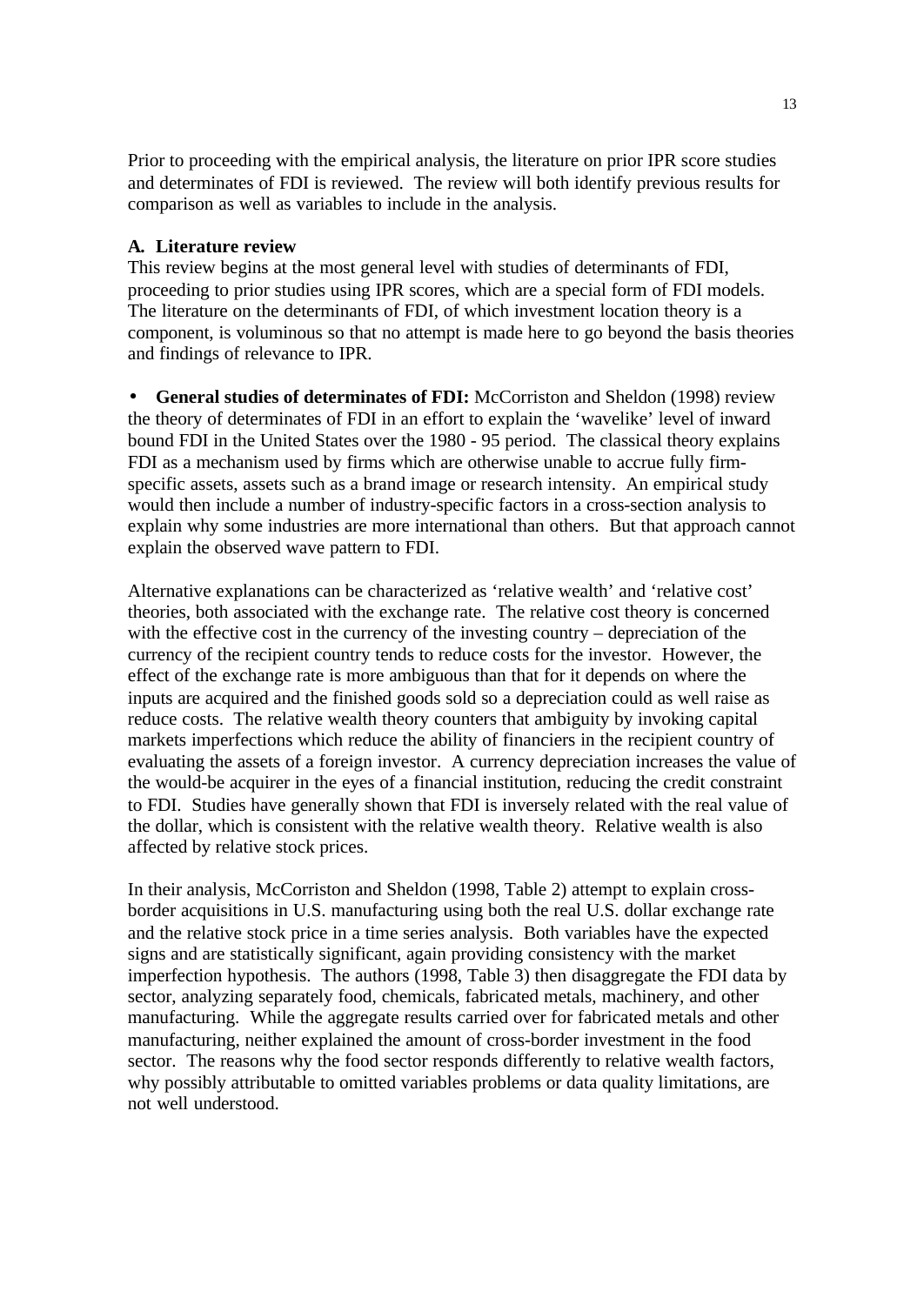Prior to proceeding with the empirical analysis, the literature on prior IPR score studies and determinates of FDI is reviewed. The review will both identify previous results for comparison as well as variables to include in the analysis.

#### **A. Literature review**

This review begins at the most general level with studies of determinants of FDI, proceeding to prior studies using IPR scores, which are a special form of FDI models. The literature on the determinants of FDI, of which investment location theory is a component, is voluminous so that no attempt is made here to go beyond the basis theories and findings of relevance to IPR.

• **General studies of determinates of FDI:** McCorriston and Sheldon (1998) review the theory of determinates of FDI in an effort to explain the 'wavelike' level of inward bound FDI in the United States over the 1980 - 95 period. The classical theory explains FDI as a mechanism used by firms which are otherwise unable to accrue fully firmspecific assets, assets such as a brand image or research intensity. An empirical study would then include a number of industry-specific factors in a cross-section analysis to explain why some industries are more international than others. But that approach cannot explain the observed wave pattern to FDI.

Alternative explanations can be characterized as 'relative wealth' and 'relative cost' theories, both associated with the exchange rate. The relative cost theory is concerned with the effective cost in the currency of the investing country – depreciation of the currency of the recipient country tends to reduce costs for the investor. However, the effect of the exchange rate is more ambiguous than that for it depends on where the inputs are acquired and the finished goods sold so a depreciation could as well raise as reduce costs. The relative wealth theory counters that ambiguity by invoking capital markets imperfections which reduce the ability of financiers in the recipient country of evaluating the assets of a foreign investor. A currency depreciation increases the value of the would-be acquirer in the eyes of a financial institution, reducing the credit constraint to FDI. Studies have generally shown that FDI is inversely related with the real value of the dollar, which is consistent with the relative wealth theory. Relative wealth is also affected by relative stock prices.

In their analysis, McCorriston and Sheldon (1998, Table 2) attempt to explain crossborder acquisitions in U.S. manufacturing using both the real U.S. dollar exchange rate and the relative stock price in a time series analysis. Both variables have the expected signs and are statistically significant, again providing consistency with the market imperfection hypothesis. The authors (1998, Table 3) then disaggregate the FDI data by sector, analyzing separately food, chemicals, fabricated metals, machinery, and other manufacturing. While the aggregate results carried over for fabricated metals and other manufacturing, neither explained the amount of cross-border investment in the food sector. The reasons why the food sector responds differently to relative wealth factors, why possibly attributable to omitted variables problems or data quality limitations, are not well understood.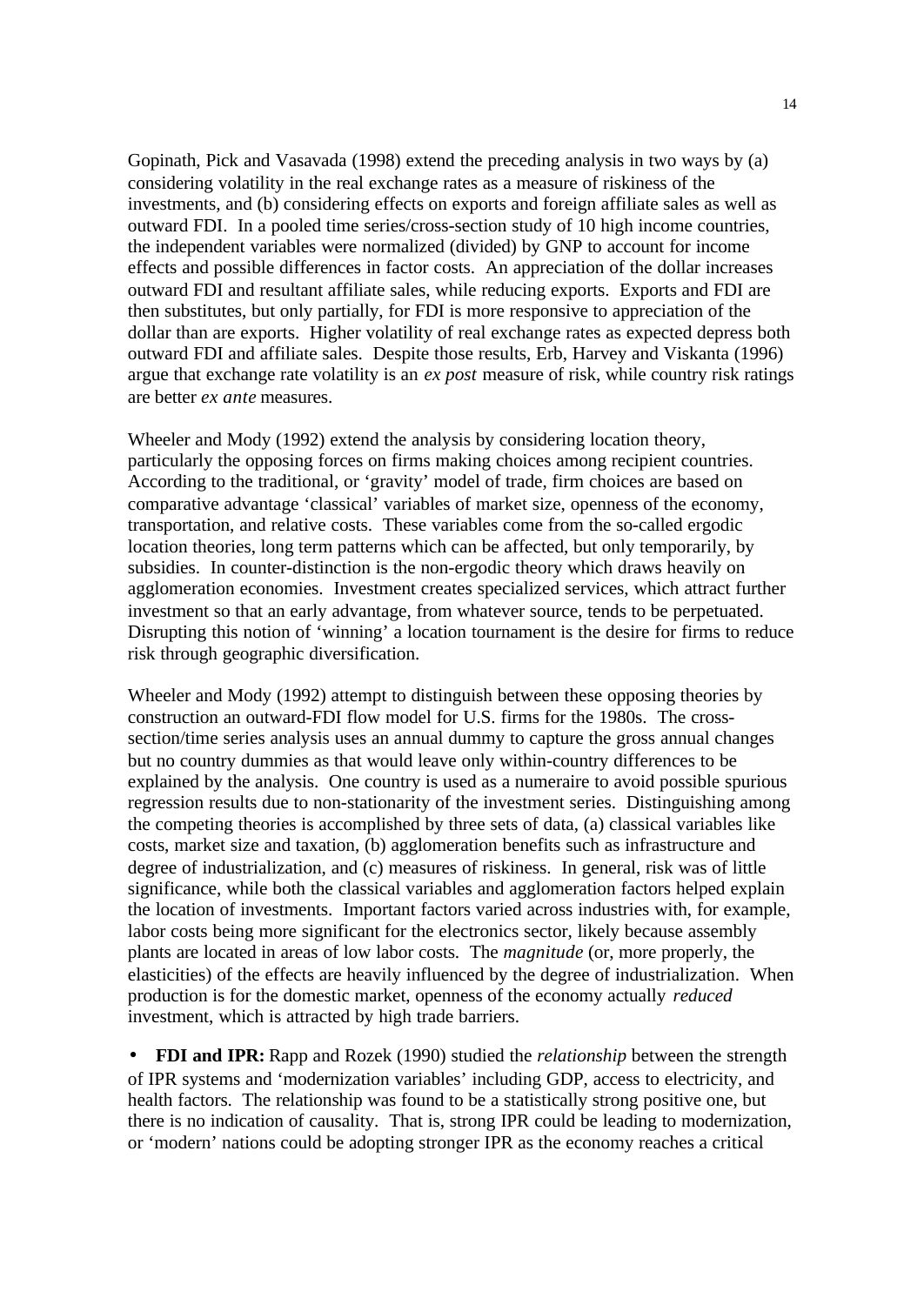Gopinath, Pick and Vasavada (1998) extend the preceding analysis in two ways by (a) considering volatility in the real exchange rates as a measure of riskiness of the investments, and (b) considering effects on exports and foreign affiliate sales as well as outward FDI. In a pooled time series/cross-section study of 10 high income countries, the independent variables were normalized (divided) by GNP to account for income effects and possible differences in factor costs. An appreciation of the dollar increases outward FDI and resultant affiliate sales, while reducing exports. Exports and FDI are then substitutes, but only partially, for FDI is more responsive to appreciation of the dollar than are exports. Higher volatility of real exchange rates as expected depress both outward FDI and affiliate sales. Despite those results, Erb, Harvey and Viskanta (1996) argue that exchange rate volatility is an *ex post* measure of risk, while country risk ratings are better *ex ante* measures.

Wheeler and Mody (1992) extend the analysis by considering location theory, particularly the opposing forces on firms making choices among recipient countries. According to the traditional, or 'gravity' model of trade, firm choices are based on comparative advantage 'classical' variables of market size, openness of the economy, transportation, and relative costs. These variables come from the so-called ergodic location theories, long term patterns which can be affected, but only temporarily, by subsidies. In counter-distinction is the non-ergodic theory which draws heavily on agglomeration economies. Investment creates specialized services, which attract further investment so that an early advantage, from whatever source, tends to be perpetuated. Disrupting this notion of 'winning' a location tournament is the desire for firms to reduce risk through geographic diversification.

Wheeler and Mody (1992) attempt to distinguish between these opposing theories by construction an outward-FDI flow model for U.S. firms for the 1980s. The crosssection/time series analysis uses an annual dummy to capture the gross annual changes but no country dummies as that would leave only within-country differences to be explained by the analysis. One country is used as a numeraire to avoid possible spurious regression results due to non-stationarity of the investment series. Distinguishing among the competing theories is accomplished by three sets of data, (a) classical variables like costs, market size and taxation, (b) agglomeration benefits such as infrastructure and degree of industrialization, and (c) measures of riskiness. In general, risk was of little significance, while both the classical variables and agglomeration factors helped explain the location of investments. Important factors varied across industries with, for example, labor costs being more significant for the electronics sector, likely because assembly plants are located in areas of low labor costs. The *magnitude* (or, more properly, the elasticities) of the effects are heavily influenced by the degree of industrialization. When production is for the domestic market, openness of the economy actually *reduced* investment, which is attracted by high trade barriers.

• **FDI and IPR:** Rapp and Rozek (1990) studied the *relationship* between the strength of IPR systems and 'modernization variables' including GDP, access to electricity, and health factors. The relationship was found to be a statistically strong positive one, but there is no indication of causality. That is, strong IPR could be leading to modernization, or 'modern' nations could be adopting stronger IPR as the economy reaches a critical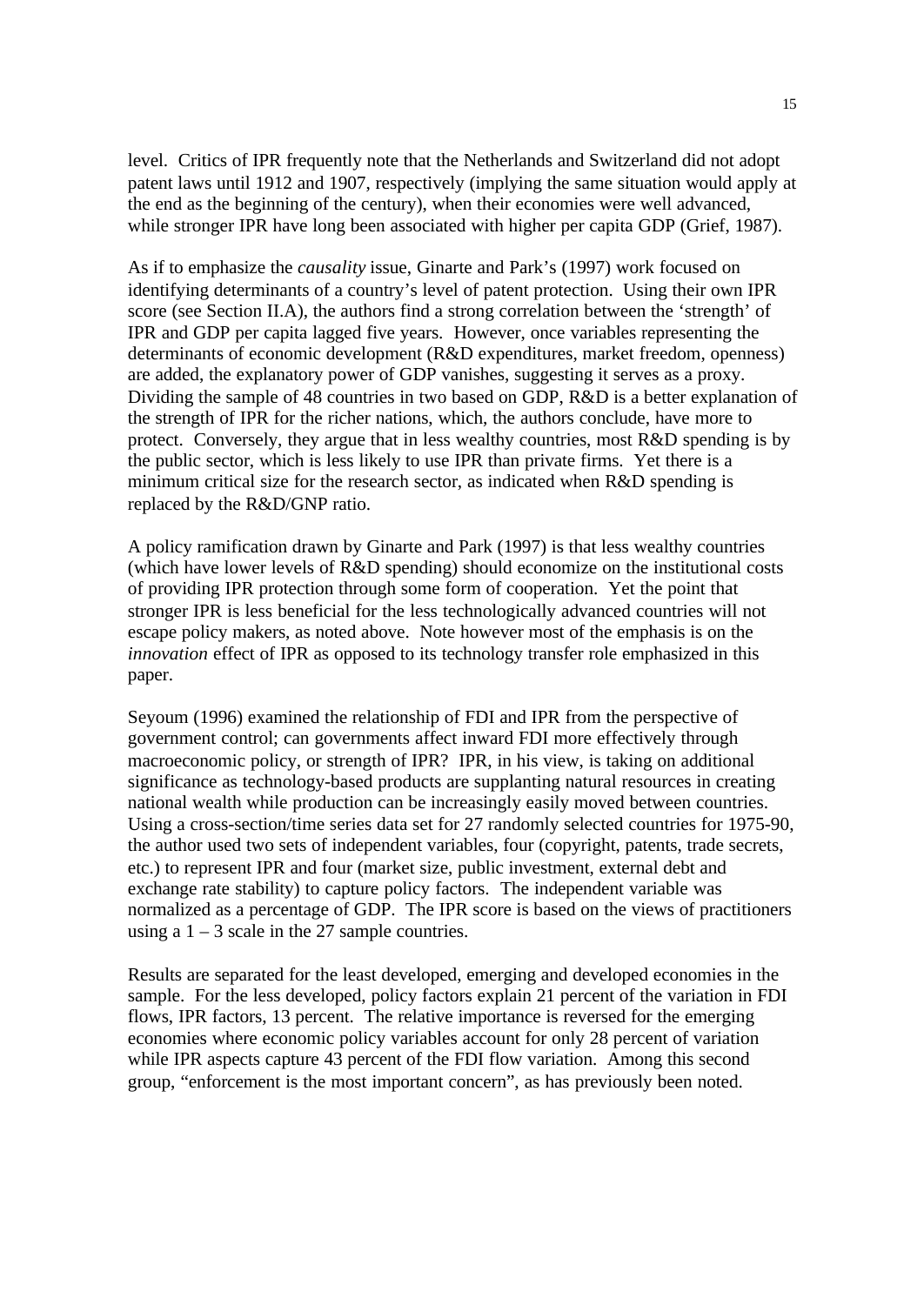level. Critics of IPR frequently note that the Netherlands and Switzerland did not adopt patent laws until 1912 and 1907, respectively (implying the same situation would apply at the end as the beginning of the century), when their economies were well advanced, while stronger IPR have long been associated with higher per capita GDP (Grief, 1987).

As if to emphasize the *causality* issue, Ginarte and Park's (1997) work focused on identifying determinants of a country's level of patent protection. Using their own IPR score (see Section II.A), the authors find a strong correlation between the 'strength' of IPR and GDP per capita lagged five years. However, once variables representing the determinants of economic development (R&D expenditures, market freedom, openness) are added, the explanatory power of GDP vanishes, suggesting it serves as a proxy. Dividing the sample of 48 countries in two based on GDP, R&D is a better explanation of the strength of IPR for the richer nations, which, the authors conclude, have more to protect. Conversely, they argue that in less wealthy countries, most R&D spending is by the public sector, which is less likely to use IPR than private firms. Yet there is a minimum critical size for the research sector, as indicated when R&D spending is replaced by the R&D/GNP ratio.

A policy ramification drawn by Ginarte and Park (1997) is that less wealthy countries (which have lower levels of R&D spending) should economize on the institutional costs of providing IPR protection through some form of cooperation. Yet the point that stronger IPR is less beneficial for the less technologically advanced countries will not escape policy makers, as noted above. Note however most of the emphasis is on the *innovation* effect of IPR as opposed to its technology transfer role emphasized in this paper.

Seyoum (1996) examined the relationship of FDI and IPR from the perspective of government control; can governments affect inward FDI more effectively through macroeconomic policy, or strength of IPR? IPR, in his view, is taking on additional significance as technology-based products are supplanting natural resources in creating national wealth while production can be increasingly easily moved between countries. Using a cross-section/time series data set for 27 randomly selected countries for 1975-90, the author used two sets of independent variables, four (copyright, patents, trade secrets, etc.) to represent IPR and four (market size, public investment, external debt and exchange rate stability) to capture policy factors. The independent variable was normalized as a percentage of GDP. The IPR score is based on the views of practitioners using a  $1 - 3$  scale in the 27 sample countries.

Results are separated for the least developed, emerging and developed economies in the sample. For the less developed, policy factors explain 21 percent of the variation in FDI flows, IPR factors, 13 percent. The relative importance is reversed for the emerging economies where economic policy variables account for only 28 percent of variation while IPR aspects capture 43 percent of the FDI flow variation. Among this second group, "enforcement is the most important concern", as has previously been noted.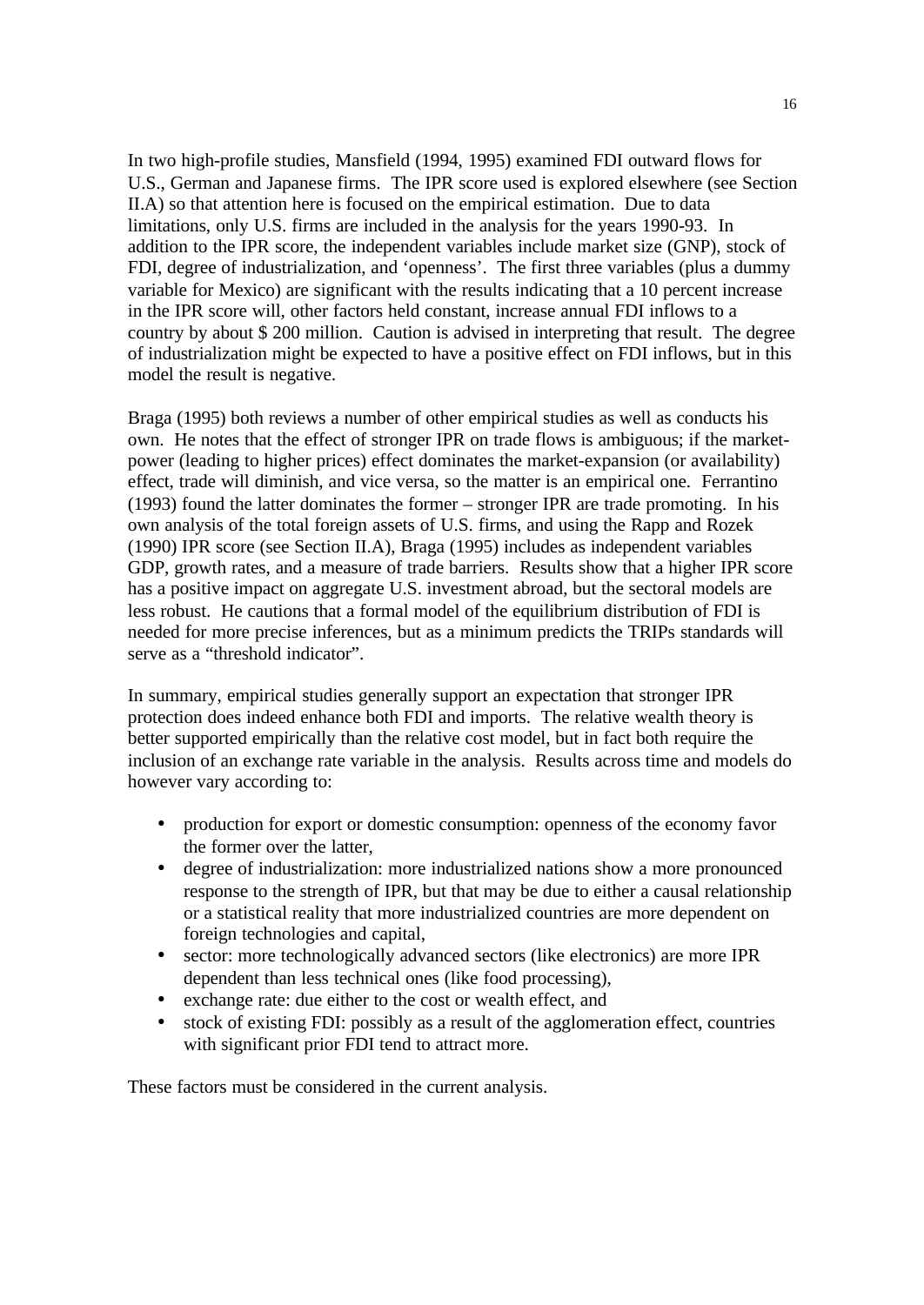In two high-profile studies, Mansfield (1994, 1995) examined FDI outward flows for U.S., German and Japanese firms. The IPR score used is explored elsewhere (see Section II.A) so that attention here is focused on the empirical estimation. Due to data limitations, only U.S. firms are included in the analysis for the years 1990-93. In addition to the IPR score, the independent variables include market size (GNP), stock of FDI, degree of industrialization, and 'openness'. The first three variables (plus a dummy variable for Mexico) are significant with the results indicating that a 10 percent increase in the IPR score will, other factors held constant, increase annual FDI inflows to a country by about \$ 200 million. Caution is advised in interpreting that result. The degree of industrialization might be expected to have a positive effect on FDI inflows, but in this model the result is negative.

Braga (1995) both reviews a number of other empirical studies as well as conducts his own. He notes that the effect of stronger IPR on trade flows is ambiguous; if the marketpower (leading to higher prices) effect dominates the market-expansion (or availability) effect, trade will diminish, and vice versa, so the matter is an empirical one. Ferrantino (1993) found the latter dominates the former – stronger IPR are trade promoting. In his own analysis of the total foreign assets of U.S. firms, and using the Rapp and Rozek (1990) IPR score (see Section II.A), Braga (1995) includes as independent variables GDP, growth rates, and a measure of trade barriers. Results show that a higher IPR score has a positive impact on aggregate U.S. investment abroad, but the sectoral models are less robust. He cautions that a formal model of the equilibrium distribution of FDI is needed for more precise inferences, but as a minimum predicts the TRIPs standards will serve as a "threshold indicator".

In summary, empirical studies generally support an expectation that stronger IPR protection does indeed enhance both FDI and imports. The relative wealth theory is better supported empirically than the relative cost model, but in fact both require the inclusion of an exchange rate variable in the analysis. Results across time and models do however vary according to:

- production for export or domestic consumption: openness of the economy favor the former over the latter,
- degree of industrialization: more industrialized nations show a more pronounced response to the strength of IPR, but that may be due to either a causal relationship or a statistical reality that more industrialized countries are more dependent on foreign technologies and capital,
- sector: more technologically advanced sectors (like electronics) are more IPR dependent than less technical ones (like food processing),
- exchange rate: due either to the cost or wealth effect, and
- stock of existing FDI: possibly as a result of the agglomeration effect, countries with significant prior FDI tend to attract more.

These factors must be considered in the current analysis.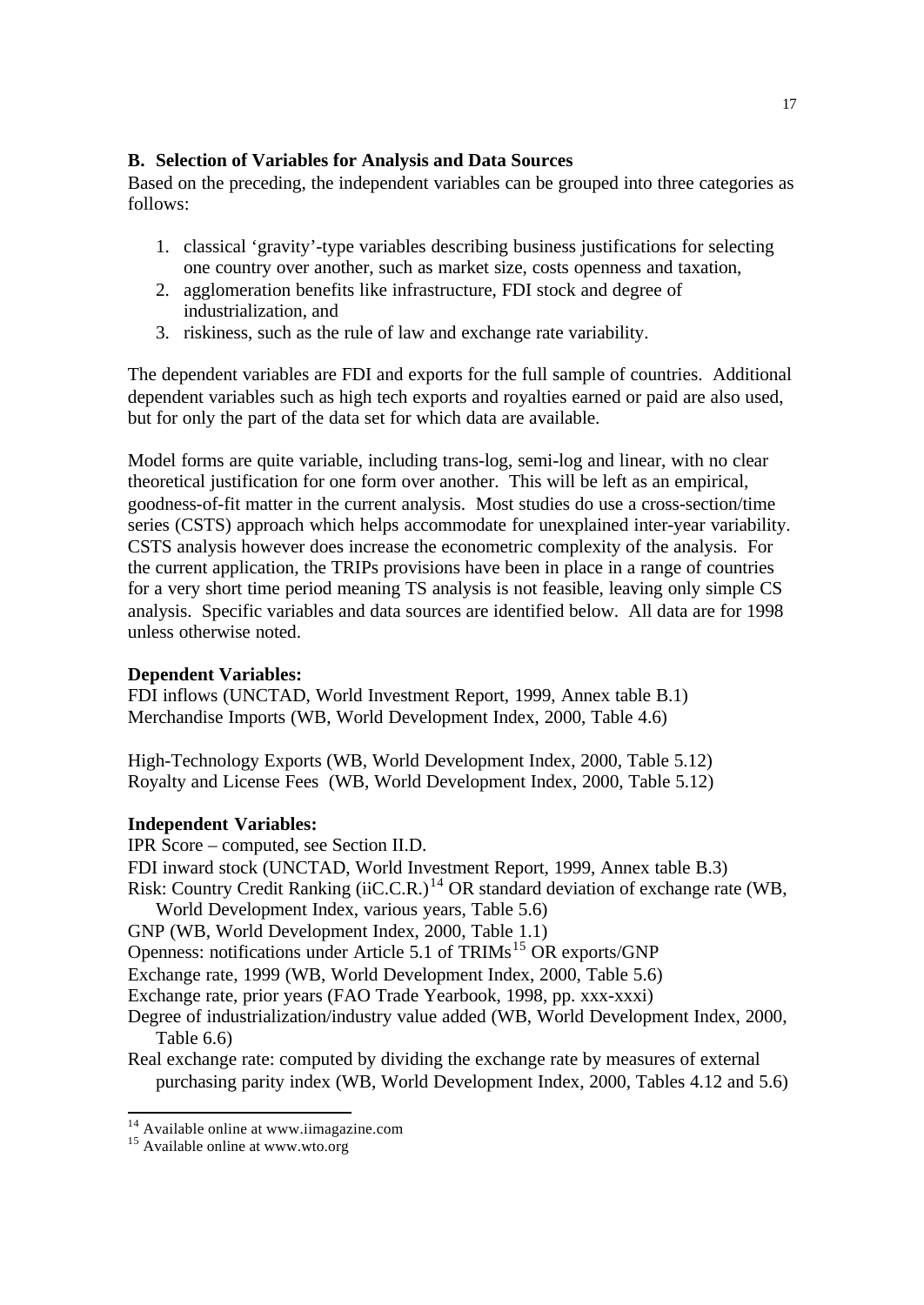### **B. Selection of Variables for Analysis and Data Sources**

Based on the preceding, the independent variables can be grouped into three categories as follows:

- 1. classical 'gravity'-type variables describing business justifications for selecting one country over another, such as market size, costs openness and taxation,
- 2. agglomeration benefits like infrastructure, FDI stock and degree of industrialization, and
- 3. riskiness, such as the rule of law and exchange rate variability.

The dependent variables are FDI and exports for the full sample of countries. Additional dependent variables such as high tech exports and royalties earned or paid are also used, but for only the part of the data set for which data are available.

Model forms are quite variable, including trans-log, semi-log and linear, with no clear theoretical justification for one form over another. This will be left as an empirical, goodness-of-fit matter in the current analysis. Most studies do use a cross-section/time series (CSTS) approach which helps accommodate for unexplained inter-year variability. CSTS analysis however does increase the econometric complexity of the analysis. For the current application, the TRIPs provisions have been in place in a range of countries for a very short time period meaning TS analysis is not feasible, leaving only simple CS analysis. Specific variables and data sources are identified below. All data are for 1998 unless otherwise noted.

# **Dependent Variables:**

FDI inflows (UNCTAD, World Investment Report, 1999, Annex table B.1) Merchandise Imports (WB, World Development Index, 2000, Table 4.6)

High-Technology Exports (WB, World Development Index, 2000, Table 5.12) Royalty and License Fees (WB, World Development Index, 2000, Table 5.12)

### **Independent Variables:**

IPR Score – computed, see Section II.D.

- FDI inward stock (UNCTAD, World Investment Report, 1999, Annex table B.3) Risk: Country Credit Ranking (iiC.C.R.)<sup>14</sup> OR standard deviation of exchange rate (WB,
- World Development Index, various years, Table 5.6)
- GNP (WB, World Development Index, 2000, Table 1.1)
- Openness: notifications under Article 5.1 of TRIMs<sup>15</sup> OR exports/GNP

Exchange rate, 1999 (WB, World Development Index, 2000, Table 5.6)

Exchange rate, prior years (FAO Trade Yearbook, 1998, pp. xxx-xxxi)

Degree of industrialization/industry value added (WB, World Development Index, 2000, Table 6.6)

Real exchange rate: computed by dividing the exchange rate by measures of external purchasing parity index (WB, World Development Index, 2000, Tables 4.12 and 5.6)

 $14$  Available online at www.iimagazine.com

<sup>&</sup>lt;sup>15</sup> Available online at www.wto.org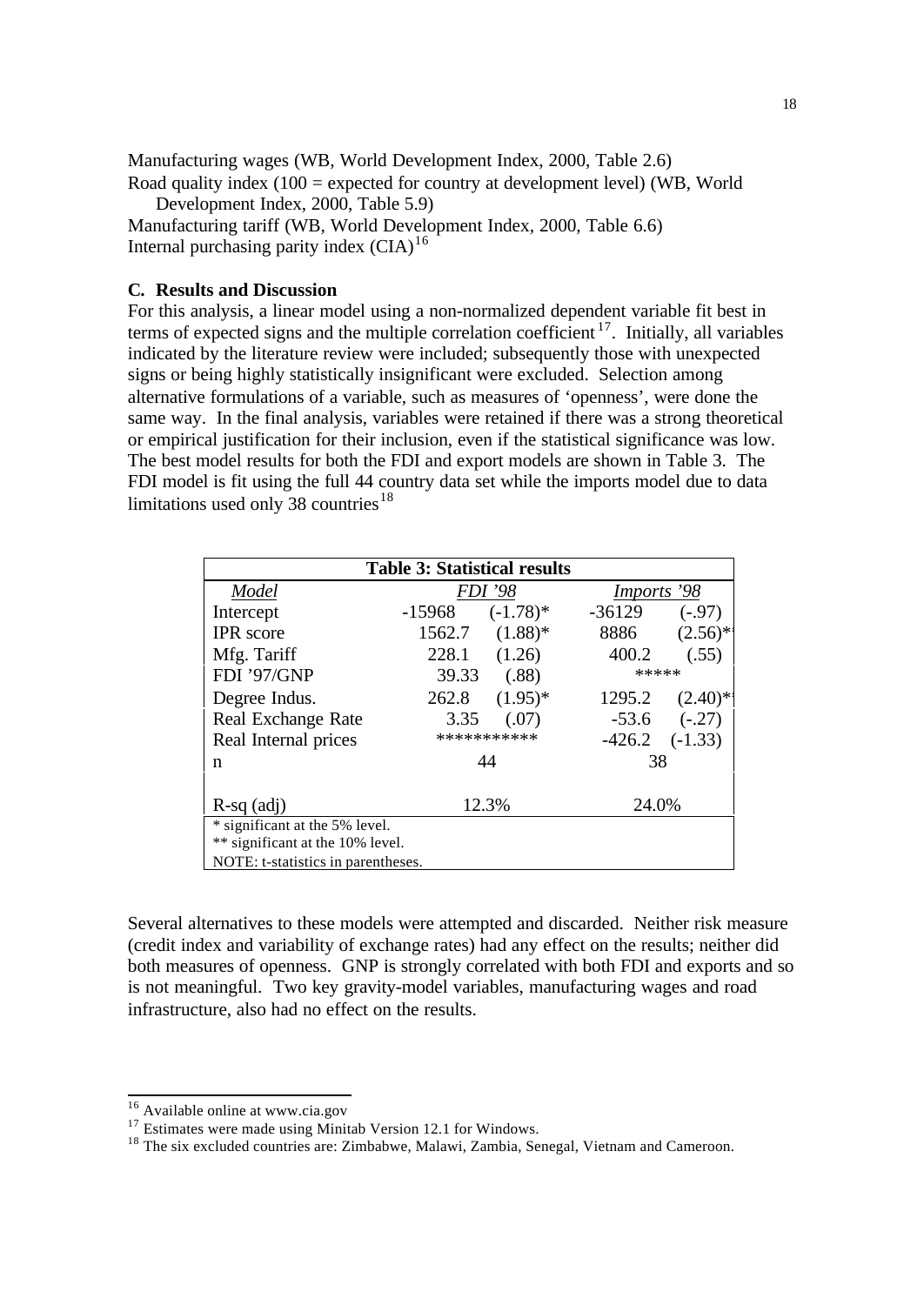Manufacturing wages (WB, World Development Index, 2000, Table 2.6) Road quality index (100 = expected for country at development level) (WB, World

Development Index, 2000, Table 5.9)

Manufacturing tariff (WB, World Development Index, 2000, Table 6.6) Internal purchasing parity index (CIA)<sup>16</sup>

#### **C. Results and Discussion**

For this analysis, a linear model using a non-normalized dependent variable fit best in terms of expected signs and the multiple correlation coefficient <sup>17</sup>. Initially, all variables indicated by the literature review were included; subsequently those with unexpected signs or being highly statistically insignificant were excluded. Selection among alternative formulations of a variable, such as measures of 'openness', were done the same way. In the final analysis, variables were retained if there was a strong theoretical or empirical justification for their inclusion, even if the statistical significance was low. The best model results for both the FDI and export models are shown in Table 3. The FDI model is fit using the full 44 country data set while the imports model due to data limitations used only 38 countries<sup>18</sup>

| <b>Table 3: Statistical results</b> |                         |             |             |                       |  |  |  |  |
|-------------------------------------|-------------------------|-------------|-------------|-----------------------|--|--|--|--|
| Model                               | <b>FDI</b> '98          |             | Imports '98 |                       |  |  |  |  |
| Intercept                           | -15968                  | $(-1.78)$ * | $-36129$    | $(-.97)$              |  |  |  |  |
| <b>IPR</b> score                    | 1562.7                  | $(1.88)*$   | 8886        | $(2.56)$ <sup>*</sup> |  |  |  |  |
| Mfg. Tariff                         | 228.1                   | (1.26)      | 400.2       | (.55)                 |  |  |  |  |
| FDI '97/GNP                         | *****<br>(.88)<br>39.33 |             |             |                       |  |  |  |  |
| Degree Indus.                       | 262.8                   | $(1.95)^*$  | 1295.2      | $(2.40)$ *            |  |  |  |  |
| Real Exchange Rate                  | 3.35                    | (.07)       | $-53.6$     | $(-.27)$              |  |  |  |  |
| Real Internal prices                |                         | *********** | $-426.2$    | $(-1.33)$             |  |  |  |  |
| n                                   | 44                      |             | 38          |                       |  |  |  |  |
| $R-sq$ (adj)                        | 12.3%                   |             | 24.0%       |                       |  |  |  |  |
| * significant at the 5% level.      |                         |             |             |                       |  |  |  |  |
| ** significant at the 10% level.    |                         |             |             |                       |  |  |  |  |
| NOTE: t-statistics in parentheses.  |                         |             |             |                       |  |  |  |  |

Several alternatives to these models were attempted and discarded. Neither risk measure (credit index and variability of exchange rates) had any effect on the results; neither did both measures of openness. GNP is strongly correlated with both FDI and exports and so is not meaningful. Two key gravity-model variables, manufacturing wages and road infrastructure, also had no effect on the results.

<sup>&</sup>lt;sup>16</sup> Available online at www.cia.gov

<sup>&</sup>lt;sup>17</sup> Estimates were made using Minitab Version 12.1 for Windows.

<sup>&</sup>lt;sup>18</sup> The six excluded countries are: Zimbabwe, Malawi, Zambia, Senegal, Vietnam and Cameroon.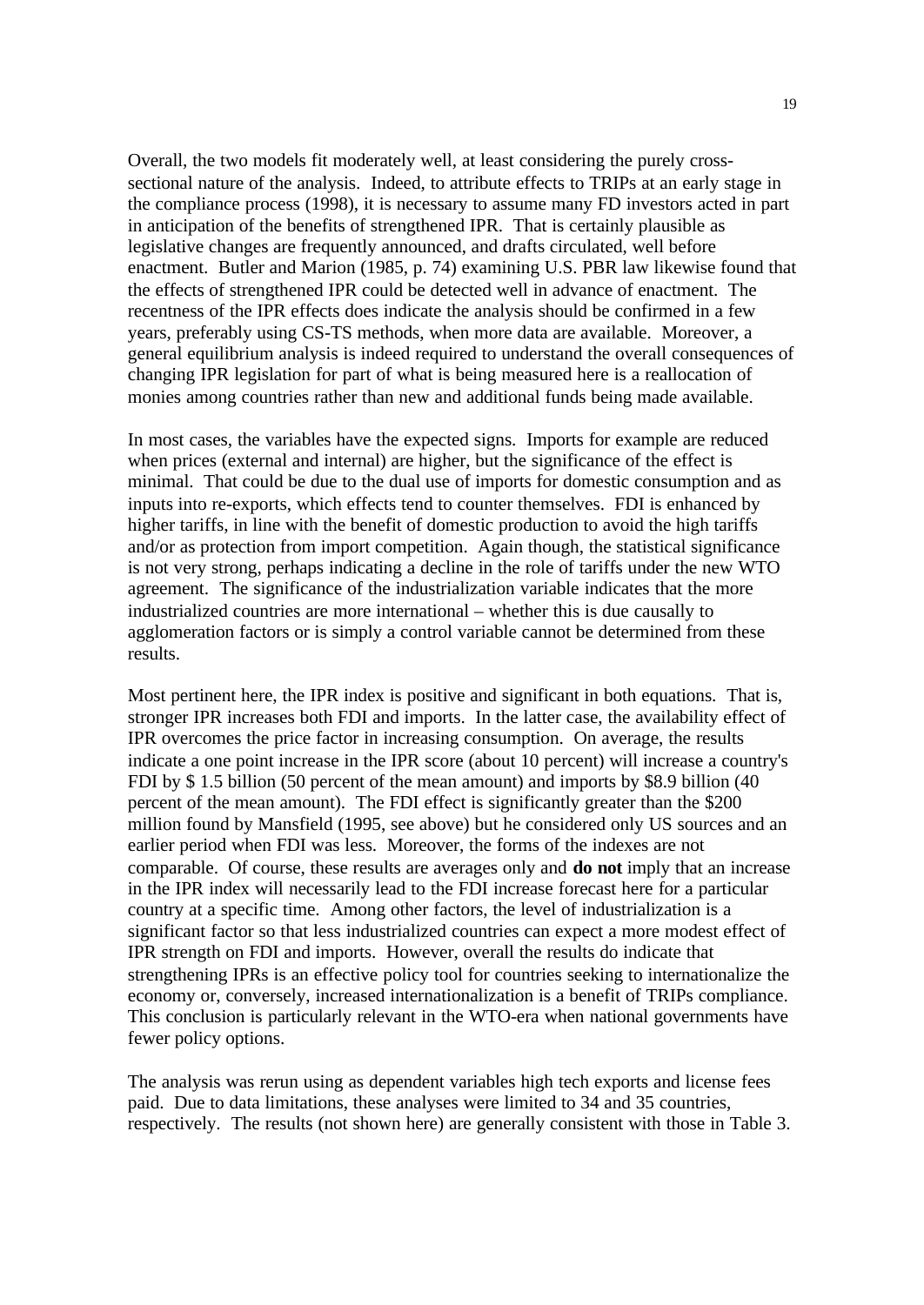Overall, the two models fit moderately well, at least considering the purely crosssectional nature of the analysis. Indeed, to attribute effects to TRIPs at an early stage in the compliance process (1998), it is necessary to assume many FD investors acted in part in anticipation of the benefits of strengthened IPR. That is certainly plausible as legislative changes are frequently announced, and drafts circulated, well before enactment. Butler and Marion (1985, p. 74) examining U.S. PBR law likewise found that the effects of strengthened IPR could be detected well in advance of enactment. The recentness of the IPR effects does indicate the analysis should be confirmed in a few years, preferably using CS-TS methods, when more data are available. Moreover, a general equilibrium analysis is indeed required to understand the overall consequences of changing IPR legislation for part of what is being measured here is a reallocation of monies among countries rather than new and additional funds being made available.

In most cases, the variables have the expected signs. Imports for example are reduced when prices (external and internal) are higher, but the significance of the effect is minimal. That could be due to the dual use of imports for domestic consumption and as inputs into re-exports, which effects tend to counter themselves. FDI is enhanced by higher tariffs, in line with the benefit of domestic production to avoid the high tariffs and/or as protection from import competition. Again though, the statistical significance is not very strong, perhaps indicating a decline in the role of tariffs under the new WTO agreement. The significance of the industrialization variable indicates that the more industrialized countries are more international – whether this is due causally to agglomeration factors or is simply a control variable cannot be determined from these results.

Most pertinent here, the IPR index is positive and significant in both equations. That is, stronger IPR increases both FDI and imports. In the latter case, the availability effect of IPR overcomes the price factor in increasing consumption. On average, the results indicate a one point increase in the IPR score (about 10 percent) will increase a country's FDI by \$ 1.5 billion (50 percent of the mean amount) and imports by \$8.9 billion (40 percent of the mean amount). The FDI effect is significantly greater than the \$200 million found by Mansfield (1995, see above) but he considered only US sources and an earlier period when FDI was less. Moreover, the forms of the indexes are not comparable. Of course, these results are averages only and **do not** imply that an increase in the IPR index will necessarily lead to the FDI increase forecast here for a particular country at a specific time. Among other factors, the level of industrialization is a significant factor so that less industrialized countries can expect a more modest effect of IPR strength on FDI and imports. However, overall the results do indicate that strengthening IPRs is an effective policy tool for countries seeking to internationalize the economy or, conversely, increased internationalization is a benefit of TRIPs compliance. This conclusion is particularly relevant in the WTO-era when national governments have fewer policy options.

The analysis was rerun using as dependent variables high tech exports and license fees paid. Due to data limitations, these analyses were limited to 34 and 35 countries, respectively. The results (not shown here) are generally consistent with those in Table 3.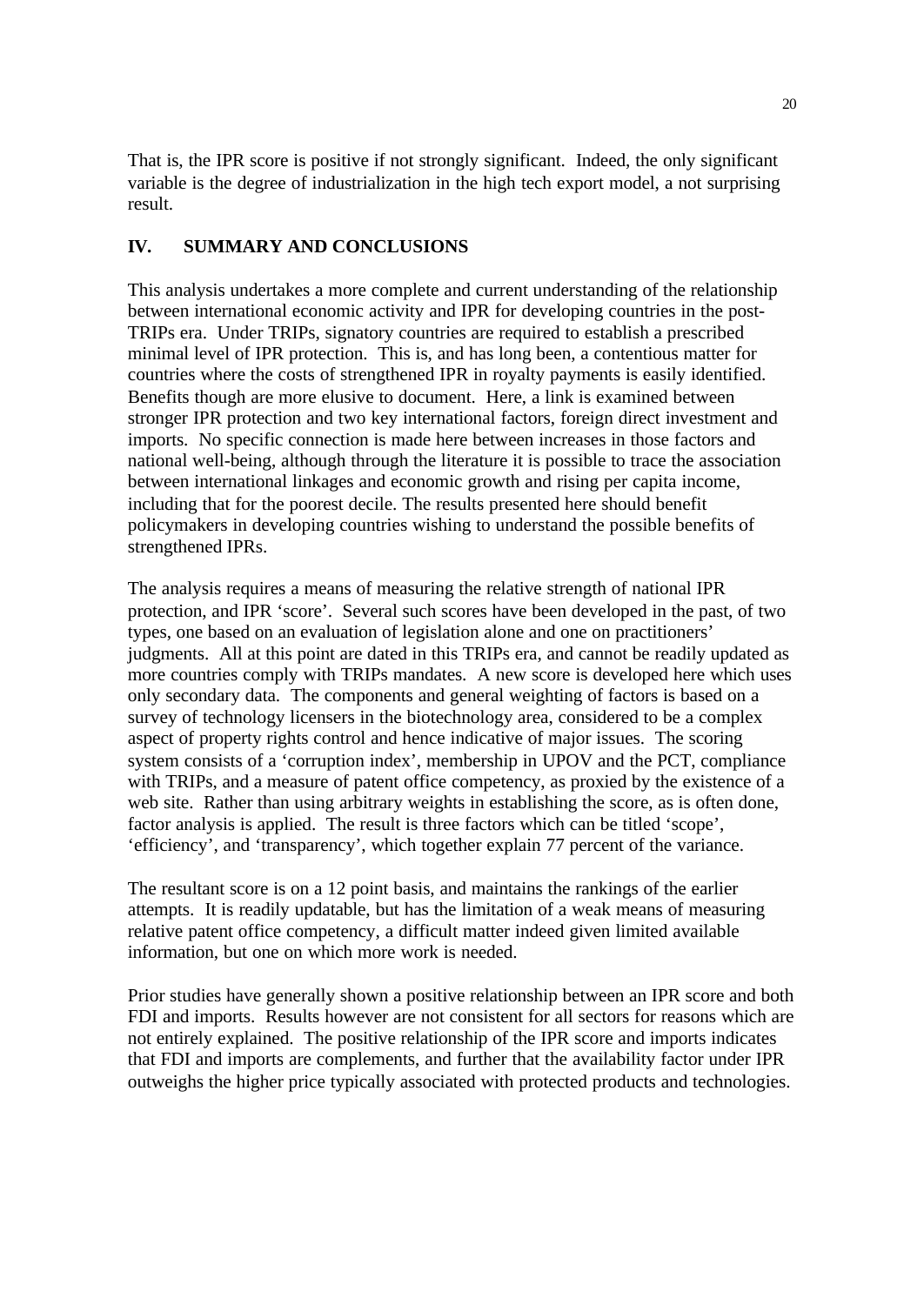That is, the IPR score is positive if not strongly significant. Indeed, the only significant variable is the degree of industrialization in the high tech export model, a not surprising result.

# **IV. SUMMARY AND CONCLUSIONS**

This analysis undertakes a more complete and current understanding of the relationship between international economic activity and IPR for developing countries in the post-TRIPs era. Under TRIPs, signatory countries are required to establish a prescribed minimal level of IPR protection. This is, and has long been, a contentious matter for countries where the costs of strengthened IPR in royalty payments is easily identified. Benefits though are more elusive to document. Here, a link is examined between stronger IPR protection and two key international factors, foreign direct investment and imports. No specific connection is made here between increases in those factors and national well-being, although through the literature it is possible to trace the association between international linkages and economic growth and rising per capita income, including that for the poorest decile. The results presented here should benefit policymakers in developing countries wishing to understand the possible benefits of strengthened IPRs.

The analysis requires a means of measuring the relative strength of national IPR protection, and IPR 'score'. Several such scores have been developed in the past, of two types, one based on an evaluation of legislation alone and one on practitioners' judgments. All at this point are dated in this TRIPs era, and cannot be readily updated as more countries comply with TRIPs mandates. A new score is developed here which uses only secondary data. The components and general weighting of factors is based on a survey of technology licensers in the biotechnology area, considered to be a complex aspect of property rights control and hence indicative of major issues. The scoring system consists of a 'corruption index', membership in UPOV and the PCT, compliance with TRIPs, and a measure of patent office competency, as proxied by the existence of a web site. Rather than using arbitrary weights in establishing the score, as is often done, factor analysis is applied. The result is three factors which can be titled 'scope', 'efficiency', and 'transparency', which together explain 77 percent of the variance.

The resultant score is on a 12 point basis, and maintains the rankings of the earlier attempts. It is readily updatable, but has the limitation of a weak means of measuring relative patent office competency, a difficult matter indeed given limited available information, but one on which more work is needed.

Prior studies have generally shown a positive relationship between an IPR score and both FDI and imports. Results however are not consistent for all sectors for reasons which are not entirely explained. The positive relationship of the IPR score and imports indicates that FDI and imports are complements, and further that the availability factor under IPR outweighs the higher price typically associated with protected products and technologies.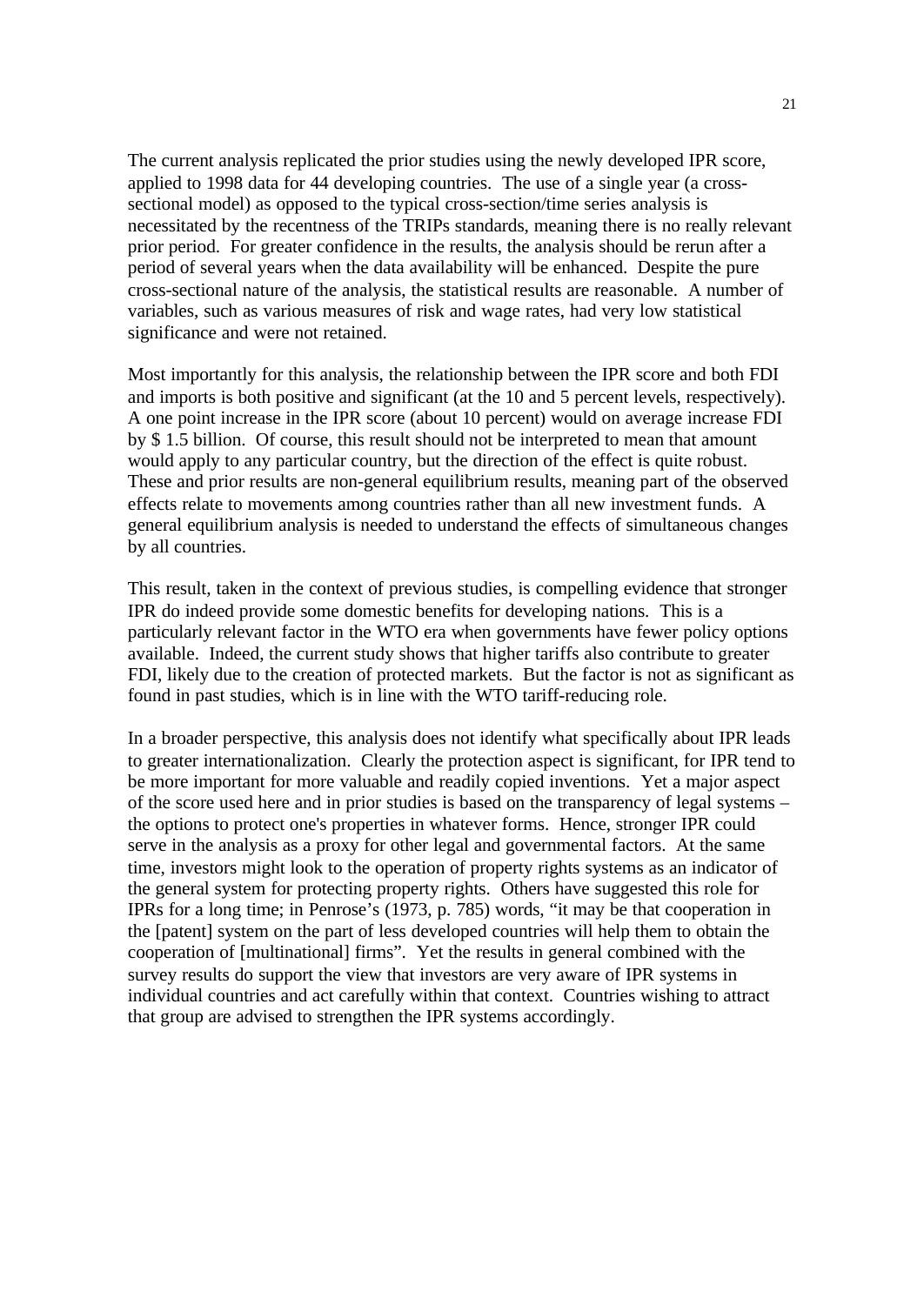The current analysis replicated the prior studies using the newly developed IPR score, applied to 1998 data for 44 developing countries. The use of a single year (a crosssectional model) as opposed to the typical cross-section/time series analysis is necessitated by the recentness of the TRIPs standards, meaning there is no really relevant prior period. For greater confidence in the results, the analysis should be rerun after a period of several years when the data availability will be enhanced. Despite the pure cross-sectional nature of the analysis, the statistical results are reasonable. A number of variables, such as various measures of risk and wage rates, had very low statistical significance and were not retained.

Most importantly for this analysis, the relationship between the IPR score and both FDI and imports is both positive and significant (at the 10 and 5 percent levels, respectively). A one point increase in the IPR score (about 10 percent) would on average increase FDI by \$ 1.5 billion. Of course, this result should not be interpreted to mean that amount would apply to any particular country, but the direction of the effect is quite robust. These and prior results are non-general equilibrium results, meaning part of the observed effects relate to movements among countries rather than all new investment funds. A general equilibrium analysis is needed to understand the effects of simultaneous changes by all countries.

This result, taken in the context of previous studies, is compelling evidence that stronger IPR do indeed provide some domestic benefits for developing nations. This is a particularly relevant factor in the WTO era when governments have fewer policy options available. Indeed, the current study shows that higher tariffs also contribute to greater FDI, likely due to the creation of protected markets. But the factor is not as significant as found in past studies, which is in line with the WTO tariff-reducing role.

In a broader perspective, this analysis does not identify what specifically about IPR leads to greater internationalization. Clearly the protection aspect is significant, for IPR tend to be more important for more valuable and readily copied inventions. Yet a major aspect of the score used here and in prior studies is based on the transparency of legal systems – the options to protect one's properties in whatever forms. Hence, stronger IPR could serve in the analysis as a proxy for other legal and governmental factors. At the same time, investors might look to the operation of property rights systems as an indicator of the general system for protecting property rights. Others have suggested this role for IPRs for a long time; in Penrose's (1973, p. 785) words, "it may be that cooperation in the [patent] system on the part of less developed countries will help them to obtain the cooperation of [multinational] firms". Yet the results in general combined with the survey results do support the view that investors are very aware of IPR systems in individual countries and act carefully within that context. Countries wishing to attract that group are advised to strengthen the IPR systems accordingly.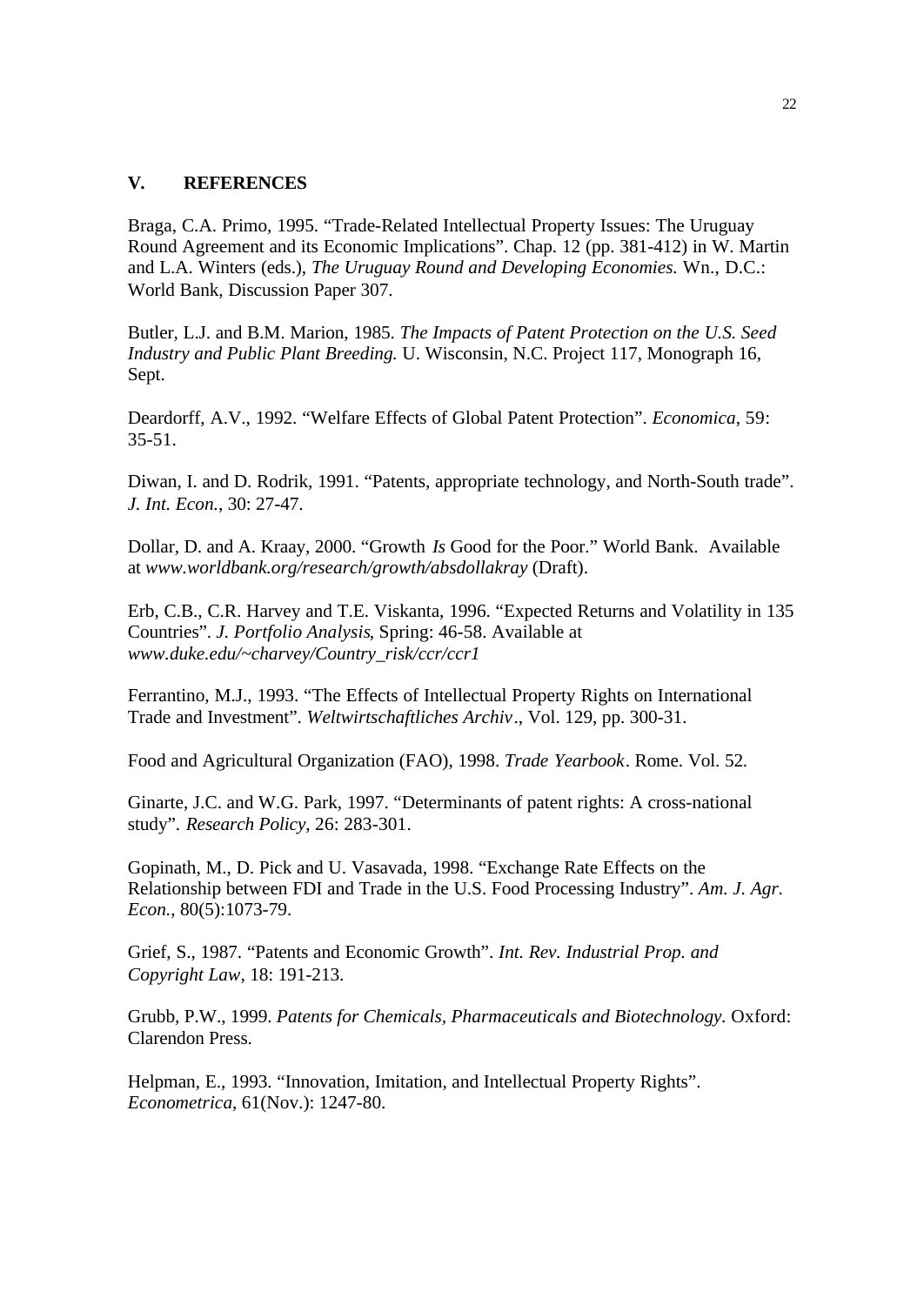### **V. REFERENCES**

Braga, C.A. Primo, 1995. "Trade-Related Intellectual Property Issues: The Uruguay Round Agreement and its Economic Implications". Chap. 12 (pp. 381-412) in W. Martin and L.A. Winters (eds.), *The Uruguay Round and Developing Economies.* Wn., D.C.: World Bank, Discussion Paper 307.

Butler, L.J. and B.M. Marion, 1985. *The Impacts of Patent Protection on the U.S. Seed Industry and Public Plant Breeding.* U. Wisconsin, N.C. Project 117, Monograph 16, Sept.

Deardorff, A.V., 1992. "Welfare Effects of Global Patent Protection". *Economica*, 59: 35-51.

Diwan, I. and D. Rodrik, 1991. "Patents, appropriate technology, and North-South trade". *J. Int. Econ.*, 30: 27-47.

Dollar, D. and A. Kraay, 2000. "Growth *Is* Good for the Poor." World Bank. Available at *www.worldbank.org/research/growth/absdollakray* (Draft).

Erb, C.B., C.R. Harvey and T.E. Viskanta, 1996. "Expected Returns and Volatility in 135 Countries". *J. Portfolio Analysis*, Spring: 46-58. Available at *www.duke.edu/~charvey/Country\_risk/ccr/ccr1*

Ferrantino, M.J., 1993. "The Effects of Intellectual Property Rights on International Trade and Investment". *Weltwirtschaftliches Archiv*., Vol. 129, pp. 300-31.

Food and Agricultural Organization (FAO), 1998. *Trade Yearbook*. Rome. Vol. 52.

Ginarte, J.C. and W.G. Park, 1997. "Determinants of patent rights: A cross-national study". *Research Policy*, 26: 283-301.

Gopinath, M., D. Pick and U. Vasavada, 1998. "Exchange Rate Effects on the Relationship between FDI and Trade in the U.S. Food Processing Industry". *Am. J. Agr. Econ.*, 80(5):1073-79.

Grief, S., 1987. "Patents and Economic Growth". *Int. Rev. Industrial Prop. and Copyright Law,* 18: 191-213.

Grubb, P.W., 1999. *Patents for Chemicals, Pharmaceuticals and Biotechnology.* Oxford: Clarendon Press.

Helpman, E., 1993. "Innovation, Imitation, and Intellectual Property Rights". *Econometrica*, 61(Nov.): 1247-80.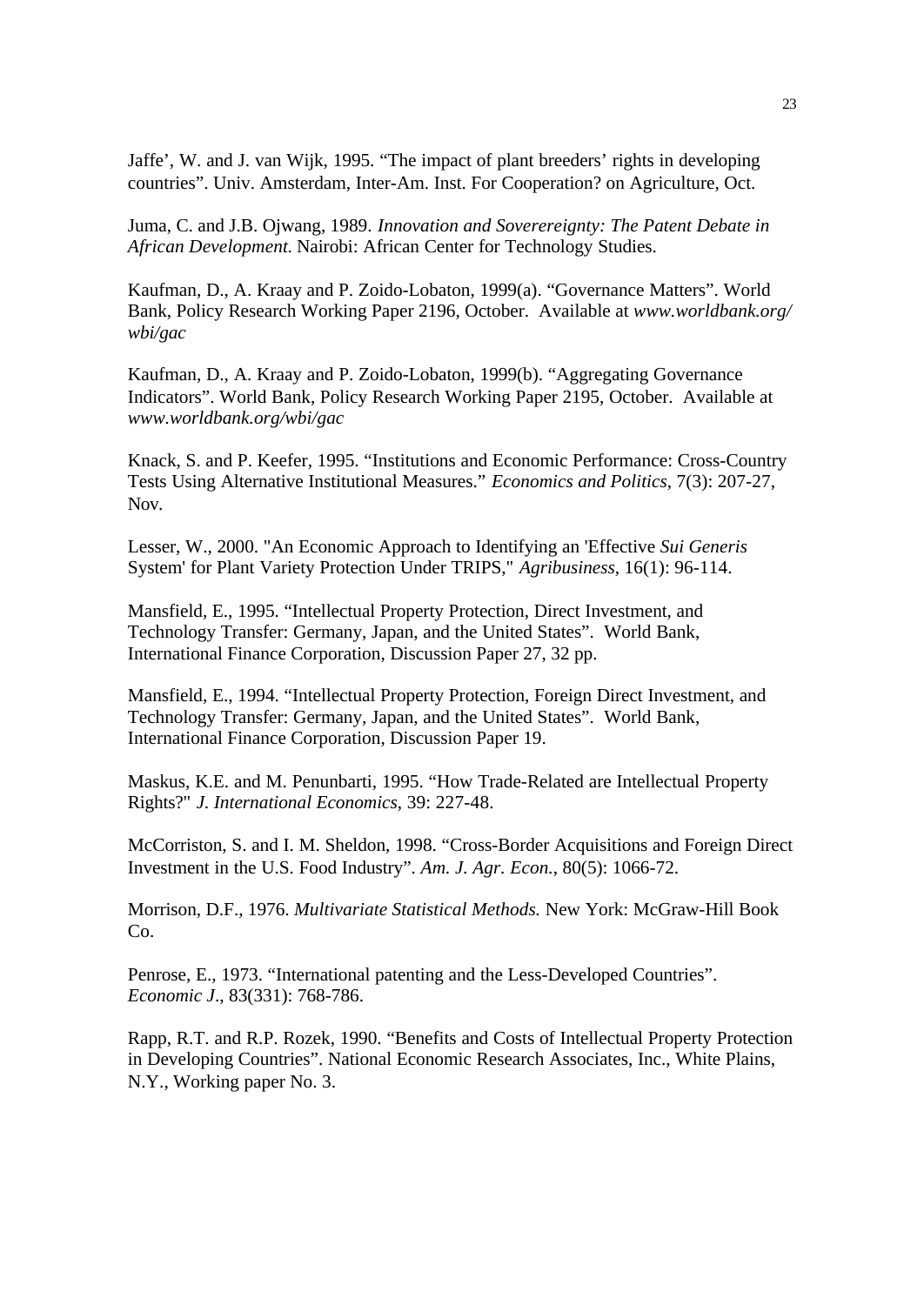Jaffe', W. and J. van Wijk, 1995. "The impact of plant breeders' rights in developing countries". Univ. Amsterdam, Inter-Am. Inst. For Cooperation? on Agriculture, Oct.

Juma, C. and J.B. Ojwang, 1989. *Innovation and Soverereignty: The Patent Debate in African Development.* Nairobi: African Center for Technology Studies.

Kaufman, D., A. Kraay and P. Zoido-Lobaton, 1999(a). "Governance Matters". World Bank, Policy Research Working Paper 2196, October. Available at *www.worldbank.org/ wbi/gac*

Kaufman, D., A. Kraay and P. Zoido-Lobaton, 1999(b). "Aggregating Governance Indicators". World Bank, Policy Research Working Paper 2195, October. Available at *www.worldbank.org/wbi/gac*

Knack, S. and P. Keefer, 1995. "Institutions and Economic Performance: Cross-Country Tests Using Alternative Institutional Measures." *Economics and Politics*, 7(3): 207-27, Nov.

Lesser, W., 2000. "An Economic Approach to Identifying an 'Effective *Sui Generis* System' for Plant Variety Protection Under TRIPS," *Agribusiness*, 16(1): 96-114.

Mansfield, E., 1995. "Intellectual Property Protection, Direct Investment, and Technology Transfer: Germany, Japan, and the United States". World Bank, International Finance Corporation, Discussion Paper 27, 32 pp.

Mansfield, E., 1994. "Intellectual Property Protection, Foreign Direct Investment, and Technology Transfer: Germany, Japan, and the United States". World Bank, International Finance Corporation, Discussion Paper 19.

Maskus, K.E. and M. Penunbarti, 1995. "How Trade-Related are Intellectual Property Rights?" *J. International Economics*, 39: 227-48.

McCorriston, S. and I. M. Sheldon, 1998. "Cross-Border Acquisitions and Foreign Direct Investment in the U.S. Food Industry". *Am. J. Agr. Econ.*, 80(5): 1066-72.

Morrison, D.F., 1976. *Multivariate Statistical Methods.* New York: McGraw-Hill Book  $Co<sub>2</sub>$ 

Penrose, E., 1973. "International patenting and the Less-Developed Countries". *Economic J*., 83(331): 768-786.

Rapp, R.T. and R.P. Rozek, 1990. "Benefits and Costs of Intellectual Property Protection in Developing Countries". National Economic Research Associates, Inc., White Plains, N.Y., Working paper No. 3.